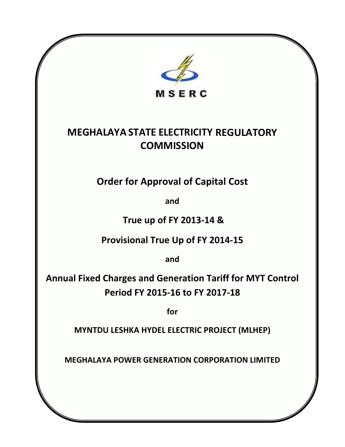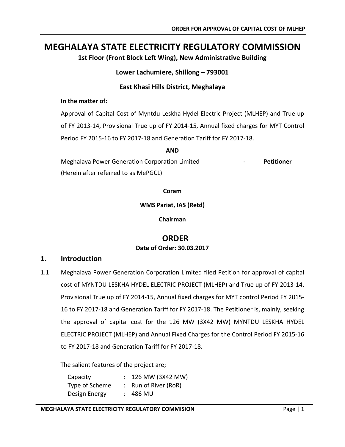# **MEGHALAYA STATE ELECTRICITY REGULATORY COMMISSION**

**1st Floor (Front Block Left Wing), New Administrative Building**

**Lower Lachumiere, Shillong – 793001**

# **East Khasi Hills District, Meghalaya**

## **In the matter of:**

Approval of Capital Cost of Myntdu Leskha Hydel Electric Project (MLHEP) and True up of FY 2013-14, Provisional True up of FY 2014-15, Annual fixed charges for MYT Control Period FY 2015-16 to FY 2017-18 and Generation Tariff for FY 2017-18.

#### **AND**

Meghalaya Power Generation Corporation Limited - **Petitioner** (Herein after referred to as MePGCL)

**Coram**

**WMS Pariat, IAS (Retd)**

**Chairman**

# **ORDER Date of Order: 30.03.2017**

# **1. Introduction**

1.1 Meghalaya Power Generation Corporation Limited filed Petition for approval of capital cost of MYNTDU LESKHA HYDEL ELECTRIC PROJECT (MLHEP) and True up of FY 2013-14, Provisional True up of FY 2014-15, Annual fixed charges for MYT control Period FY 2015- 16 to FY 2017-18 and Generation Tariff for FY 2017-18. The Petitioner is, mainly, seeking the approval of capital cost for the 126 MW (3X42 MW) MYNTDU LESKHA HYDEL ELECTRIC PROJECT (MLHEP) and Annual Fixed Charges for the Control Period FY 2015-16 to FY 2017-18 and Generation Tariff for FY 2017-18.

The salient features of the project are;

Capacity : 126 MW (3X42 MW) Type of Scheme : Run of River (RoR) Design Energy : 486 MU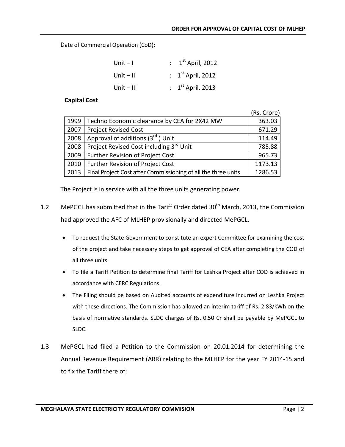Date of Commercial Operation (CoD);

| Unit – I   | : $1st$ April, 2012 |
|------------|---------------------|
| Unit – II  | : $1st$ April, 2012 |
| Unit – III | : $1st$ April, 2013 |

#### **Capital Cost**

|      |                                                               | (Rs. Crore) |
|------|---------------------------------------------------------------|-------------|
| 1999 | Techno Economic clearance by CEA for 2X42 MW                  | 363.03      |
| 2007 | <b>Project Revised Cost</b>                                   | 671.29      |
| 2008 | Approval of additions (3rd) Unit                              | 114.49      |
| 2008 | Project Revised Cost including 3 <sup>rd</sup> Unit           | 785.88      |
| 2009 | Further Revision of Project Cost                              | 965.73      |
| 2010 | Further Revision of Project Cost                              | 1173.13     |
| 2013 | Final Project Cost after Commissioning of all the three units | 1286.53     |

The Project is in service with all the three units generating power.

- 1.2 MePGCL has submitted that in the Tariff Order dated 30<sup>th</sup> March, 2013, the Commission had approved the AFC of MLHEP provisionally and directed MePGCL.
	- To request the State Government to constitute an expert Committee for examining the cost of the project and take necessary steps to get approval of CEA after completing the COD of all three units.
	- To file a Tariff Petition to determine final Tariff for Leshka Project after COD is achieved in accordance with CERC Regulations.
	- The Filing should be based on Audited accounts of expenditure incurred on Leshka Project with these directions. The Commission has allowed an interim tariff of Rs. 2.83/kWh on the basis of normative standards. SLDC charges of Rs. 0.50 Cr shall be payable by MePGCL to SLDC.
- 1.3 MePGCL had filed a Petition to the Commission on 20.01.2014 for determining the Annual Revenue Requirement (ARR) relating to the MLHEP for the year FY 2014-15 and to fix the Tariff there of;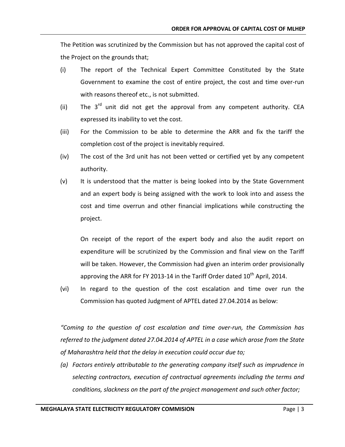The Petition was scrutinized by the Commission but has not approved the capital cost of the Project on the grounds that;

- (i) The report of the Technical Expert Committee Constituted by the State Government to examine the cost of entire project, the cost and time over-run with reasons thereof etc., is not submitted.
- (ii) The  $3^{rd}$  unit did not get the approval from any competent authority. CEA expressed its inability to vet the cost.
- (iii) For the Commission to be able to determine the ARR and fix the tariff the completion cost of the project is inevitably required.
- (iv) The cost of the 3rd unit has not been vetted or certified yet by any competent authority.
- (v) It is understood that the matter is being looked into by the State Government and an expert body is being assigned with the work to look into and assess the cost and time overrun and other financial implications while constructing the project.

On receipt of the report of the expert body and also the audit report on expenditure will be scrutinized by the Commission and final view on the Tariff will be taken. However, the Commission had given an interim order provisionally approving the ARR for FY 2013-14 in the Tariff Order dated  $10<sup>th</sup>$  April, 2014.

(vi) In regard to the question of the cost escalation and time over run the Commission has quoted Judgment of APTEL dated 27.04.2014 as below:

*"Coming to the question of cost escalation and time over-run, the Commission has referred to the judgment dated 27.04.2014 of APTEL in a case which arose from the State of Maharashtra held that the delay in execution could occur due to;*

*(a) Factors entirely attributable to the generating company itself such as imprudence in selecting contractors, execution of contractual agreements including the terms and conditions, slackness on the part of the project management and such other factor;*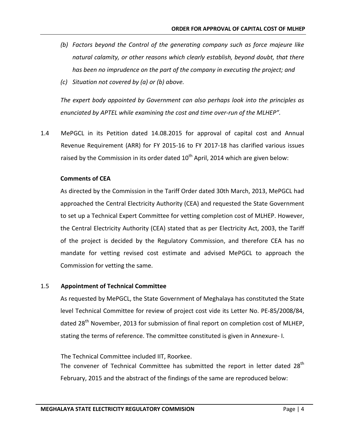- *(b) Factors beyond the Control of the generating company such as force majeure like natural calamity, or other reasons which clearly establish, beyond doubt, that there has been no imprudence on the part of the company in executing the project; and*
- *(c) Situation not covered by (a) or (b) above.*

*The expert body appointed by Government can also perhaps look into the principles as enunciated by APTEL while examining the cost and time over-run of the MLHEP".*

1.4 MePGCL in its Petition dated 14.08.2015 for approval of capital cost and Annual Revenue Requirement (ARR) for FY 2015-16 to FY 2017-18 has clarified various issues raised by the Commission in its order dated  $10^{th}$  April, 2014 which are given below:

# **Comments of CEA**

As directed by the Commission in the Tariff Order dated 30th March, 2013, MePGCL had approached the Central Electricity Authority (CEA) and requested the State Government to set up a Technical Expert Committee for vetting completion cost of MLHEP. However, the Central Electricity Authority (CEA) stated that as per Electricity Act, 2003, the Tariff of the project is decided by the Regulatory Commission, and therefore CEA has no mandate for vetting revised cost estimate and advised MePGCL to approach the Commission for vetting the same.

# 1.5 **Appointment of Technical Committee**

As requested by MePGCL, the State Government of Meghalaya has constituted the State level Technical Committee for review of project cost vide its Letter No. PE-85/2008/84, dated 28<sup>th</sup> November, 2013 for submission of final report on completion cost of MLHEP, stating the terms of reference. The committee constituted is given in Annexure- I.

The Technical Committee included IIT, Roorkee.

The convener of Technical Committee has submitted the report in letter dated 28<sup>th</sup> February, 2015 and the abstract of the findings of the same are reproduced below: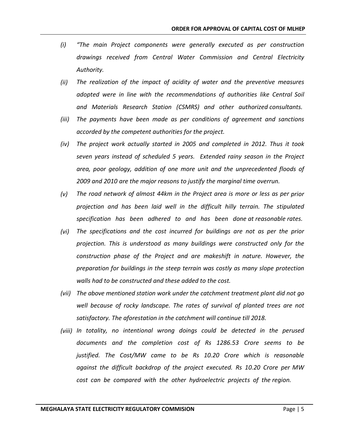- *(i) "The main Project components were generally executed as per construction drawings received from Central Water Commission and Central Electricity Authority.*
- *(ii) The realization of the impact of acidity of water and the preventive measures adopted were in line with the recommendations of authorities like Central Soil and Materials Research Station (CSMRS) and other authorized consultants.*
- *(iii) The payments have been made as per conditions of agreement and sanctions accorded by the competent authorities for the project.*
- *(iv) The project work actually started in 2005 and completed in 2012. Thus it took seven years instead of scheduled 5 years. Extended rainy season in the Project area, poor geology, addition of one more unit and the unprecedented floods of 2009 and 2010 are the major reasons to justify the marginal time overrun.*
- *(v) The road network of almost 44km in the Project area is more or less as per prior projection and has been laid well in the difficult hilly terrain. The stipulated specification has been adhered to and has been done at reasonable rates.*
- *(vi) The specifications and the cost incurred for buildings are not as per the prior projection. This is understood as many buildings were constructed only for the construction phase of the Project and are makeshift in nature. However, the preparation for buildings in the steep terrain was costly as many slope protection walls had to be constructed and these added to the cost.*
- *(vii) The above mentioned station work under the catchment treatment plant did not go well because of rocky landscape. The rates of survival of planted trees are not satisfactory. The aforestation in the catchment will continue till 2018.*
- *(viii) In totality, no intentional wrong doings could be detected in the perused documents and the completion cost of Rs 1286.53 Crore seems to be justified. The Cost/MW came to be Rs 10.20 Crore which is reasonable against the difficult backdrop of the project executed. Rs 10.20 Crore per MW cost can be compared with the other hydroelectric projects of the region.*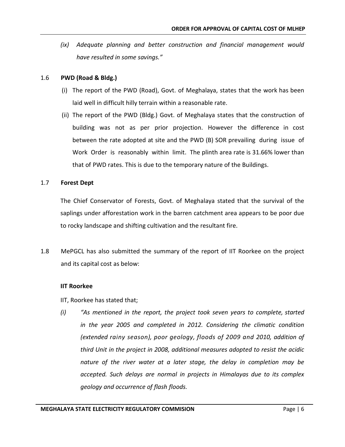*(ix) Adequate planning and better construction and financial management would have resulted in some savings."*

### 1.6 **PWD (Road & Bldg.)**

- (i) The report of the PWD (Road), Govt. of Meghalaya, states that the work has been laid well in difficult hilly terrain within a reasonable rate.
- (ii) The report of the PWD (Bldg.) Govt. of Meghalaya states that the construction of building was not as per prior projection. However the difference in cost between the rate adopted at site and the PWD (B) SOR prevailing during issue of Work Order is reasonably within limit. The plinth area rate is 31.66% lower than that of PWD rates. This is due to the temporary nature of the Buildings.

#### 1.7 **Forest Dept**

The Chief Conservator of Forests, Govt. of Meghalaya stated that the survival of the saplings under afforestation work in the barren catchment area appears to be poor due to rocky landscape and shifting cultivation and the resultant fire.

1.8 MePGCL has also submitted the summary of the report of IIT Roorkee on the project and its capital cost as below:

#### **IIT Roorkee**

- IIT, Roorkee has stated that;
- *(i) "As mentioned in the report, the project took seven years to complete, started in the year 2005 and completed in 2012. Considering the climatic condition (extended rainy season), poor geology, floods of 2009 and 2010, addition of third Unit in the project in 2008, additional measures adopted to resist the acidic nature of the river water at a later stage, the delay in completion may be accepted. Such delays are normal in projects in Himalayas due to its complex geology and occurrence of flash floods.*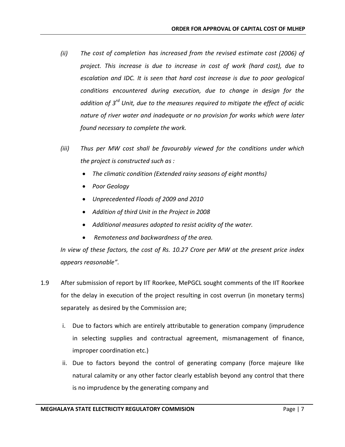- *(ii) The cost of completion has increased from the revised estimate cost (2006) of project. This increase is due to increase in cost of work (hard cost), due to escalation and IDC. It is seen that hard cost increase is due to poor geological conditions encountered during execution, due to change in design for the addition of 3rd Unit, due to the measures required to mitigate the effect of acidic nature of river water and inadequate or no provision for works which were later found necessary to complete the work.*
- *(iii) Thus per MW cost shall be favourably viewed for the conditions under which the project is constructed such as :*
	- *The climatic condition (Extended rainy seasons of eight months)*
	- *Poor Geology*
	- *Unprecedented Floods of 2009 and 2010*
	- *Addition of third Unit in the Project in 2008*
	- *Additional measures adopted to resist acidity of the water.*
	- *Remoteness and backwardness of the area.*

*In view of these factors, the cost of Rs. 10.27 Crore per MW at the present price index appears reasonable".*

- 1.9 After submission of report by IIT Roorkee, MePGCL sought comments of the IIT Roorkee for the delay in execution of the project resulting in cost overrun (in monetary terms) separately as desired by the Commission are;
	- i. Due to factors which are entirely attributable to generation company (imprudence in selecting supplies and contractual agreement, mismanagement of finance, improper coordination etc.)
	- ii. Due to factors beyond the control of generating company (force majeure like natural calamity or any other factor clearly establish beyond any control that there is no imprudence by the generating company and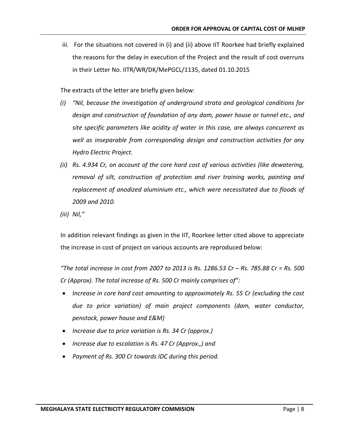iii. For the situations not covered in (i) and (ii) above IIT Roorkee had briefly explained the reasons for the delay in execution of the Project and the result of cost overruns in their Letter No. IITR/WR/DK/MePGCL/1135, dated 01.10.2015

The extracts of the letter are briefly given below:

- *(i) "Nil, because the investigation of underground strata and geological conditions for design and construction of foundation of any dam, power house or tunnel etc., and site specific parameters like acidity of water in this case, are always concurrent as well as inseparable from corresponding design and construction activities for any Hydro Electric Project.*
- *(ii) Rs. 4.934 Cr, on account of the core hard cost of various activities (like dewatering, removal of silt, construction of protection and river training works, painting and replacement of anodized aluminium etc., which were necessitated due to floods of 2009 and 2010.*
- *(iii) Nil,"*

In addition relevant findings as given in the IIT, Roorkee letter cited above to appreciate the increase in cost of project on various accounts are reproduced below:

*"The total increase in cost from 2007 to 2013 is Rs. 1286.53 Cr – Rs. 785.88 Cr = Rs. 500 Cr (Approx). The total increase of Rs. 500 Cr mainly comprises of":* 

- *Increase in core hard cost amounting to approximately Rs. 55 Cr (excluding the cost due to price variation) of main project components (dam, water conductor, penstock, power house and E&M)*
- *Increase due to price variation is Rs. 34 Cr (approx.)*
- *Increase due to escalation is Rs. 47 Cr (Approx.,) and*
- *Payment of Rs. 300 Cr towards IDC during this period.*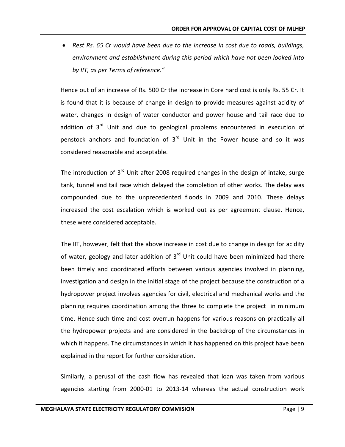• *Rest Rs. 65 Cr would have been due to the increase in cost due to roads, buildings, environment and establishment during this period which have not been looked into by IIT, as per Terms of reference."*

Hence out of an increase of Rs. 500 Cr the increase in Core hard cost is only Rs. 55 Cr. It is found that it is because of change in design to provide measures against acidity of water, changes in design of water conductor and power house and tail race due to addition of  $3<sup>rd</sup>$  Unit and due to geological problems encountered in execution of penstock anchors and foundation of  $3<sup>rd</sup>$  Unit in the Power house and so it was considered reasonable and acceptable.

The introduction of  $3<sup>rd</sup>$  Unit after 2008 required changes in the design of intake, surge tank, tunnel and tail race which delayed the completion of other works. The delay was compounded due to the unprecedented floods in 2009 and 2010. These delays increased the cost escalation which is worked out as per agreement clause. Hence, these were considered acceptable.

The IIT, however, felt that the above increase in cost due to change in design for acidity of water, geology and later addition of  $3<sup>rd</sup>$  Unit could have been minimized had there been timely and coordinated efforts between various agencies involved in planning, investigation and design in the initial stage of the project because the construction of a hydropower project involves agencies for civil, electrical and mechanical works and the planning requires coordination among the three to complete the project in minimum time. Hence such time and cost overrun happens for various reasons on practically all the hydropower projects and are considered in the backdrop of the circumstances in which it happens. The circumstances in which it has happened on this project have been explained in the report for further consideration.

Similarly, a perusal of the cash flow has revealed that loan was taken from various agencies starting from 2000-01 to 2013-14 whereas the actual construction work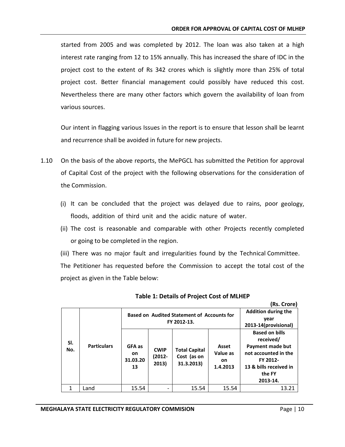started from 2005 and was completed by 2012. The loan was also taken at a high interest rate ranging from 12 to 15% annually. This has increased the share of IDC in the project cost to the extent of Rs 342 crores which is slightly more than 25% of total project cost. Better financial management could possibly have reduced this cost. Nevertheless there are many other factors which govern the availability of loan from various sources.

Our intent in flagging various Issues in the report is to ensure that lesson shall be learnt and recurrence shall be avoided in future for new projects.

- 1.10 On the basis of the above reports, the MePGCL has submitted the Petition for approval of Capital Cost of the project with the following observations for the consideration of the Commission.
	- (i) It can be concluded that the project was delayed due to rains, poor geology, floods, addition of third unit and the acidic nature of water.
	- (ii) The cost is reasonable and comparable with other Projects recently completed or going to be completed in the region.
	- (iii) There was no major fault and irregularities found by the Technical Committee. The Petitioner has requested before the Commission to accept the total cost of the project as given in the Table below:

|            |                    |                                | <b>Based on Audited Statement of Accounts for</b><br>FY 2012-13. | <b>Addition during the</b><br>year<br>2013-14(provisional) |                                            |                                                                                                                                            |
|------------|--------------------|--------------------------------|------------------------------------------------------------------|------------------------------------------------------------|--------------------------------------------|--------------------------------------------------------------------------------------------------------------------------------------------|
| SI.<br>No. | <b>Particulars</b> | GFA as<br>on<br>31.03.20<br>13 | <b>CWIP</b><br>(2012-<br>2013)                                   | <b>Total Capital</b><br>Cost (as on<br>31.3.2013)          | Asset<br>Value as<br><b>on</b><br>1.4.2013 | <b>Based on bills</b><br>received/<br>Payment made but<br>not accounted in the<br>FY 2012-<br>13 & bills received in<br>the FY<br>2013-14. |
| 1          | and-               | 15.54                          |                                                                  | 15.54                                                      | 15.54                                      | 13.21                                                                                                                                      |

#### **Table 1: Details of Project Cost of MLHEP**

**(Rs. Crore)**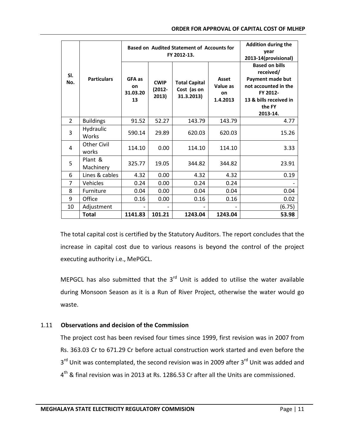|                |                             |                                | <b>Based on Audited Statement of Accounts for</b><br>FY 2012-13. | <b>Addition during the</b><br>vear<br>2013-14(provisional) |                                     |                                                                                                                                            |
|----------------|-----------------------------|--------------------------------|------------------------------------------------------------------|------------------------------------------------------------|-------------------------------------|--------------------------------------------------------------------------------------------------------------------------------------------|
| SI.<br>No.     | <b>Particulars</b>          | GFA as<br>on<br>31.03.20<br>13 | <b>CWIP</b><br>$(2012 -$<br>2013)                                | <b>Total Capital</b><br>Cost (as on<br>31.3.2013)          | Asset<br>Value as<br>on<br>1.4.2013 | <b>Based on bills</b><br>received/<br>Payment made but<br>not accounted in the<br>FY 2012-<br>13 & bills received in<br>the FY<br>2013-14. |
| $\overline{2}$ | <b>Buildings</b>            | 91.52                          | 52.27                                                            | 143.79                                                     | 143.79                              | 4.77                                                                                                                                       |
| 3              | Hydraulic<br><b>Works</b>   | 590.14                         | 29.89                                                            | 620.03                                                     | 620.03                              | 15.26                                                                                                                                      |
| 4              | <b>Other Civil</b><br>works | 114.10                         | 0.00                                                             | 114.10                                                     | 114.10                              | 3.33                                                                                                                                       |
| 5              | Plant &<br>Machinery        | 325.77                         | 19.05                                                            | 344.82                                                     | 344.82                              | 23.91                                                                                                                                      |
| 6              | Lines & cables              | 4.32                           | 0.00                                                             | 4.32                                                       | 4.32                                | 0.19                                                                                                                                       |
| 7              | Vehicles                    | 0.24                           | 0.00                                                             | 0.24                                                       | 0.24                                |                                                                                                                                            |
| 8              | Furniture                   | 0.04                           | 0.00                                                             | 0.04                                                       | 0.04                                | 0.04                                                                                                                                       |
| 9              | Office                      | 0.16                           | 0.00                                                             | 0.16                                                       | 0.16                                | 0.02                                                                                                                                       |
| 10             | Adjustment                  |                                |                                                                  |                                                            |                                     | (6.75)                                                                                                                                     |
|                | <b>Total</b>                | 1141.83                        | 101.21                                                           | 1243.04                                                    | 1243.04                             | 53.98                                                                                                                                      |

The total capital cost is certified by the Statutory Auditors. The report concludes that the increase in capital cost due to various reasons is beyond the control of the project executing authority i.e., MePGCL.

MEPGCL has also submitted that the  $3^{rd}$  Unit is added to utilise the water available during Monsoon Season as it is a Run of River Project, otherwise the water would go waste.

# 1.11 **Observations and decision of the Commission**

The project cost has been revised four times since 1999, first revision was in 2007 from Rs. 363.03 Cr to 671.29 Cr before actual construction work started and even before the 3<sup>rd</sup> Unit was contemplated, the second revision was in 2009 after 3<sup>rd</sup> Unit was added and  $4<sup>th</sup>$  & final revision was in 2013 at Rs. 1286.53 Cr after all the Units are commissioned.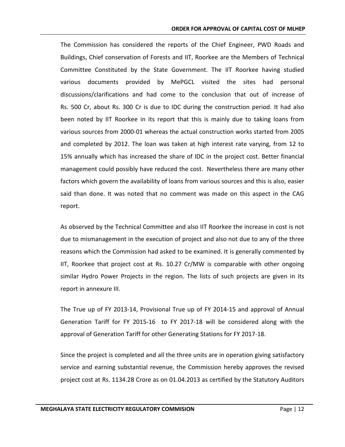The Commission has considered the reports of the Chief Engineer, PWD Roads and Buildings, Chief conservation of Forests and IIT, Roorkee are the Members of Technical Committee Constituted by the State Government. The IIT Roorkee having studied various documents provided by MePGCL visited the sites had personal discussions/clarifications and had come to the conclusion that out of increase of Rs. 500 Cr, about Rs. 300 Cr is due to IDC during the construction period. It had also been noted by IIT Roorkee in its report that this is mainly due to taking loans from various sources from 2000-01 whereas the actual construction works started from 2005 and completed by 2012. The loan was taken at high interest rate varying, from 12 to 15% annually which has increased the share of IDC in the project cost. Better financial management could possibly have reduced the cost. Nevertheless there are many other factors which govern the availability of loans from various sources and this is also, easier said than done. It was noted that no comment was made on this aspect in the CAG report.

As observed by the Technical Committee and also IIT Roorkee the increase in cost is not due to mismanagement in the execution of project and also not due to any of the three reasons which the Commission had asked to be examined. It is generally commented by IIT, Roorkee that project cost at Rs. 10.27 Cr/MW is comparable with other ongoing similar Hydro Power Projects in the region. The lists of such projects are given in its report in annexure III.

The True up of FY 2013-14, Provisional True up of FY 2014-15 and approval of Annual Generation Tariff for FY 2015-16 to FY 2017-18 will be considered along with the approval of Generation Tariff for other Generating Stations for FY 2017-18.

Since the project is completed and all the three units are in operation giving satisfactory service and earning substantial revenue, the Commission hereby approves the revised project cost at Rs. 1134.28 Crore as on 01.04.2013 as certified by the Statutory Auditors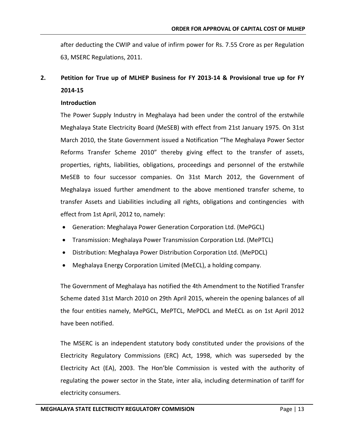after deducting the CWIP and value of infirm power for Rs. 7.55 Crore as per Regulation 63, MSERC Regulations, 2011.

# **2. Petition for True up of MLHEP Business for FY 2013-14 & Provisional true up for FY 2014-15**

#### **Introduction**

The Power Supply Industry in Meghalaya had been under the control of the erstwhile Meghalaya State Electricity Board (MeSEB) with effect from 21st January 1975. On 31st March 2010, the State Government issued a Notification "The Meghalaya Power Sector Reforms Transfer Scheme 2010" thereby giving effect to the transfer of assets, properties, rights, liabilities, obligations, proceedings and personnel of the erstwhile MeSEB to four successor companies. On 31st March 2012, the Government of Meghalaya issued further amendment to the above mentioned transfer scheme, to transfer Assets and Liabilities including all rights, obligations and contingencies with effect from 1st April, 2012 to, namely:

- Generation: Meghalaya Power Generation Corporation Ltd. (MePGCL)
- Transmission: Meghalaya Power Transmission Corporation Ltd. (MePTCL)
- Distribution: Meghalaya Power Distribution Corporation Ltd. (MePDCL)
- Meghalaya Energy Corporation Limited (MeECL), a holding company.

The Government of Meghalaya has notified the 4th Amendment to the Notified Transfer Scheme dated 31st March 2010 on 29th April 2015, wherein the opening balances of all the four entities namely, MePGCL, MePTCL, MePDCL and MeECL as on 1st April 2012 have been notified.

The MSERC is an independent statutory body constituted under the provisions of the Electricity Regulatory Commissions (ERC) Act, 1998, which was superseded by the Electricity Act (EA), 2003. The Hon'ble Commission is vested with the authority of regulating the power sector in the State, inter alia, including determination of tariff for electricity consumers.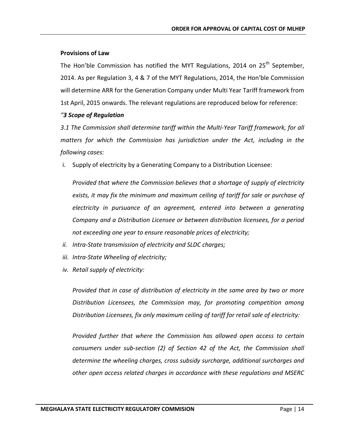## **Provisions of Law**

The Hon'ble Commission has notified the MYT Regulations, 2014 on 25<sup>th</sup> September, 2014. As per Regulation 3, 4 & 7 of the MYT Regulations, 2014, the Hon'ble Commission will determine ARR for the Generation Company under Multi Year Tariff framework from 1st April, 2015 onwards. The relevant regulations are reproduced below for reference:

# *"3 Scope of Regulation*

*3.1 The Commission shall determine tariff within the Multi-Year Tariff framework, for all matters for which the Commission has jurisdiction under the Act, including in the following cases:*

i. Supply of electricity by a Generating Company to a Distribution Licensee:

*Provided that where the Commission believes that a shortage of supply of electricity exists, it may fix the minimum and maximum ceiling of tariff for sale or purchase of electricity in pursuance of an agreement, entered into between a generating Company and a Distribution Licensee or between distribution licensees, for a period not exceeding one year to ensure reasonable prices of electricity;*

- *ii. Intra-State transmission of electricity and SLDC charges;*
- *iii. Intra-State Wheeling of electricity;*
- *iv. Retail supply of electricity:*

*Provided that in case of distribution of electricity in the same area by two or more Distribution Licensees, the Commission may, for promoting competition among Distribution Licensees, fix only maximum ceiling of tariff for retail sale of electricity:*

*Provided further that where the Commission has allowed open access to certain consumers under sub-section (2) of Section 42 of the Act, the Commission shall determine the wheeling charges, cross subsidy surcharge, additional surcharges and other open access related charges in accordance with these regulations and MSERC*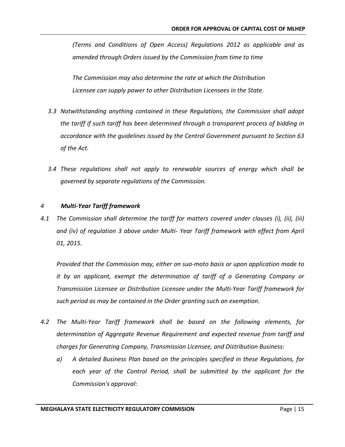*(Terms and Conditions of Open Access) Regulations 2012 as applicable and as amended through Orders issued by the Commission from time to time*

*The Commission may also determine the rate at which the Distribution Licensee can supply power to other Distribution Licensees in the State.*

- *3.3 Notwithstanding anything contained in these Regulations, the Commission shall adopt the tariff if such tariff has been determined through a transparent process of bidding in accordance with the guidelines issued by the Central Government pursuant to Section 63 of the Act.*
- *3.4 These regulations shall not apply to renewable sources of energy which shall be governed by separate regulations of the Commission.*

#### *4 Multi-Year Tariff framework*

*4.1 The Commission shall determine the tariff for matters covered under clauses (i), (ii), (iii) and (iv) of regulation 3 above under Multi- Year Tariff framework with effect from April 01, 2015.*

*Provided that the Commission may, either on suo-moto basis or upon application made to it by an applicant, exempt the determination of tariff of a Generating Company or Transmission Licensee or Distribution Licensee under the Multi-Year Tariff framework for such period as may be contained in the Order granting such an exemption.*

- *4.2 The Multi-Year Tariff framework shall be based on the following elements, for determination of Aggregate Revenue Requirement and expected revenue from tariff and charges for Generating Company, Transmission Licensee, and Distribution Business:*
	- *a) A detailed Business Plan based on the principles specified in these Regulations, for each year of the Control Period, shall be submitted by the applicant for the Commission's approval*: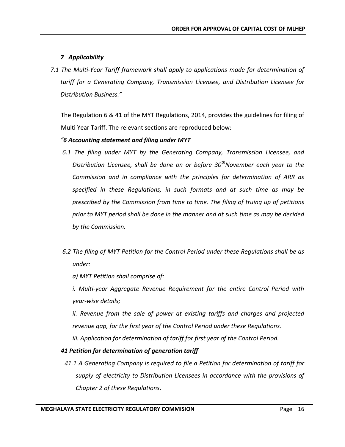# *7 Applicability*

*7.1 The Multi-Year Tariff framework shall apply to applications made for determination of tariff for a Generating Company, Transmission Licensee, and Distribution Licensee for Distribution Business."*

The Regulation 6 & 41 of the MYT Regulations, 2014, provides the guidelines for filing of Multi Year Tariff. The relevant sections are reproduced below:

# *"6 Accounting statement and filing under MYT*

- *6.1 The filing under MYT by the Generating Company, Transmission Licensee, and Distribution Licensee, shall be done on or before 30<sup>th</sup>November each year to the Commission and in compliance with the principles for determination of ARR as specified in these Regulations, in such formats and at such time as may be prescribed by the Commission from time to time. The filing of truing up of petitions prior to MYT period shall be done in the manner and at such time as may be decided by the Commission.*
- *6.2 The filing of MYT Petition for the Control Period under these Regulations shall be as under:*
	- *a) MYT Petition shall comprise of:*
	- *i. Multi-year Aggregate Revenue Requirement for the entire Control Period with year-wise details;*
	- *ii. Revenue from the sale of power at existing tariffs and charges and projected revenue gap, for the first year of the Control Period under these Regulations. iii. Application for determination of tariff for first year of the Control Period.*

# *41 Petition for determination of generation tariff*

*41.1 A Generating Company is required to file a Petition for determination of tariff for supply of electricity to Distribution Licensees in accordance with the provisions of Chapter 2 of these Regulations.*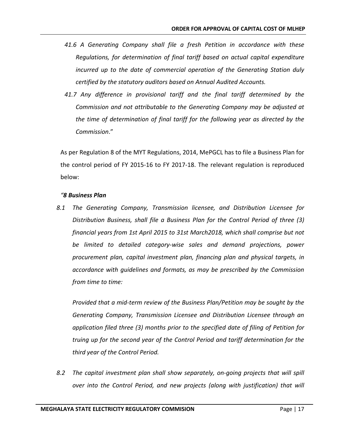- *41.6 A Generating Company shall file a fresh Petition in accordance with these Regulations, for determination of final tariff based on actual capital expenditure incurred up to the date of commercial operation of the Generating Station duly certified by the statutory auditors based on Annual Audited Accounts.*
- *41.7 Any difference in provisional tariff and the final tariff determined by the Commission and not attributable to the Generating Company may be adjusted at the time of determination of final tariff for the following year as directed by the Commission*."

As per Regulation 8 of the MYT Regulations, 2014, MePGCL has to file a Business Plan for the control period of FY 2015-16 to FY 2017-18. The relevant regulation is reproduced below:

## *"8 Business Plan*

*8.1 The Generating Company, Transmission licensee, and Distribution Licensee for Distribution Business, shall file a Business Plan for the Control Period of three (3) financial years from 1st April 2015 to 31st March2018, which shall comprise but not be limited to detailed category-wise sales and demand projections, power procurement plan, capital investment plan, financing plan and physical targets, in accordance with guidelines and formats, as may be prescribed by the Commission from time to time:*

*Provided that a mid-term review of the Business Plan/Petition may be sought by the Generating Company, Transmission Licensee and Distribution Licensee through an application filed three (3) months prior to the specified date of filing of Petition for truing up for the second year of the Control Period and tariff determination for the third year of the Control Period.*

*8.2 The capital investment plan shall show separately, on-going projects that will spill over into the Control Period, and new projects (along with justification) that will*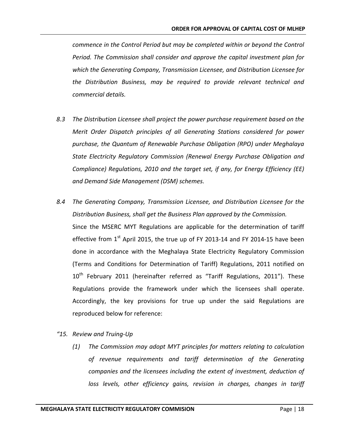*commence in the Control Period but may be completed within or beyond the Control Period. The Commission shall consider and approve the capital investment plan for which the Generating Company, Transmission Licensee, and Distribution Licensee for the Distribution Business, may be required to provide relevant technical and commercial details.*

- *8.3 The Distribution Licensee shall project the power purchase requirement based on the Merit Order Dispatch principles of all Generating Stations considered for power purchase, the Quantum of Renewable Purchase Obligation (RPO) under Meghalaya State Electricity Regulatory Commission (Renewal Energy Purchase Obligation and Compliance) Regulations, 2010 and the target set, if any, for Energy Efficiency (EE) and Demand Side Management (DSM) schemes.*
- *8.4 The Generating Company, Transmission Licensee, and Distribution Licensee for the Distribution Business, shall get the Business Plan approved by the Commission.* Since the MSERC MYT Regulations are applicable for the determination of tariff effective from  $1<sup>st</sup>$  April 2015, the true up of FY 2013-14 and FY 2014-15 have been done in accordance with the Meghalaya State Electricity Regulatory Commission (Terms and Conditions for Determination of Tariff) Regulations, 2011 notified on  $10<sup>th</sup>$  February 2011 (hereinafter referred as "Tariff Regulations, 2011"). These Regulations provide the framework under which the licensees shall operate. Accordingly, the key provisions for true up under the said Regulations are reproduced below for reference:
- *"15. Review and Truing-Up*
	- *(1) The Commission may adopt MYT principles for matters relating to calculation of revenue requirements and tariff determination of the Generating companies and the licensees including the extent of investment, deduction of loss levels, other efficiency gains, revision in charges, changes in tariff*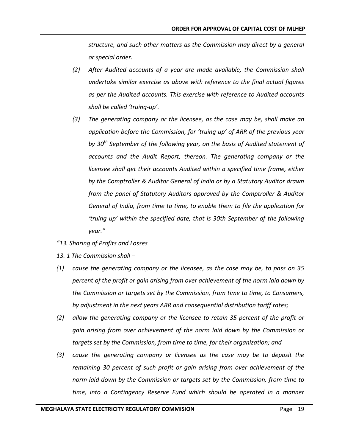*structure, and such other matters as the Commission may direct by a general or special order.*

- *(2) After Audited accounts of a year are made available, the Commission shall undertake similar exercise as above with reference to the final actual figures as per the Audited accounts. This exercise with reference to Audited accounts shall be called 'truing-up'.*
- *(3) The generating company or the licensee, as the case may be, shall make an application before the Commission, for 'truing up' of ARR of the previous year by 30th September of the following year, on the basis of Audited statement of accounts and the Audit Report, thereon. The generating company or the licensee shall get their accounts Audited within a specified time frame, either by the Comptroller & Auditor General of India or by a Statutory Auditor drawn from the panel of Statutory Auditors approved by the Comptroller & Auditor General of India, from time to time, to enable them to file the application for 'truing up' within the specified date, that is 30th September of the following year."*
- *"13. Sharing of Profits and Losses*
- *13. 1 The Commission shall –*
- *(1) cause the generating company or the licensee, as the case may be, to pass on 35 percent of the profit or gain arising from over achievement of the norm laid down by the Commission or targets set by the Commission, from time to time, to Consumers, by adjustment in the next years ARR and consequential distribution tariff rates;*
- *(2) allow the generating company or the licensee to retain 35 percent of the profit or gain arising from over achievement of the norm laid down by the Commission or targets set by the Commission, from time to time, for their organization; and*
- *(3) cause the generating company or licensee as the case may be to deposit the remaining 30 percent of such profit or gain arising from over achievement of the norm laid down by the Commission or targets set by the Commission, from time to time, into a Contingency Reserve Fund which should be operated in a manner*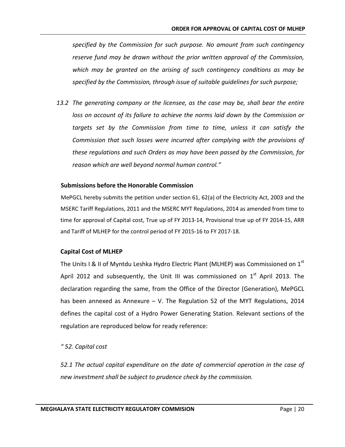*specified by the Commission for such purpose. No amount from such contingency reserve fund may be drawn without the prior written approval of the Commission, which may be granted on the arising of such contingency conditions as may be specified by the Commission, through issue of suitable guidelines for such purpose;*

*13.2 The generating company or the licensee, as the case may be, shall bear the entire loss on account of its failure to achieve the norms laid down by the Commission or targets set by the Commission from time to time, unless it can satisfy the Commission that such losses were incurred after complying with the provisions of these regulations and such Orders as may have been passed by the Commission, for reason which are well beyond normal human control."*

#### **Submissions before the Honorable Commission**

MePGCL hereby submits the petition under section 61, 62(a) of the Electricity Act, 2003 and the MSERC Tariff Regulations, 2011 and the MSERC MYT Regulations, 2014 as amended from time to time for approval of Capital cost, True up of FY 2013-14, Provisional true up of FY 2014-15, ARR and Tariff of MLHEP for the control period of FY 2015-16 to FY 2017-18.

## **Capital Cost of MLHEP**

The Units I & II of Myntdu Leshka Hydro Electric Plant (MLHEP) was Commissioned on  $1<sup>st</sup>$ April 2012 and subsequently, the Unit III was commissioned on  $1<sup>st</sup>$  April 2013. The declaration regarding the same, from the Office of the Director (Generation), MePGCL has been annexed as Annexure – V. The Regulation 52 of the MYT Regulations, 2014 defines the capital cost of a Hydro Power Generating Station. Relevant sections of the regulation are reproduced below for ready reference:

## *" 52. Capital cost*

*52.1 The actual capital expenditure on the date of commercial operation in the case of new investment shall be subject to prudence check by the commission.*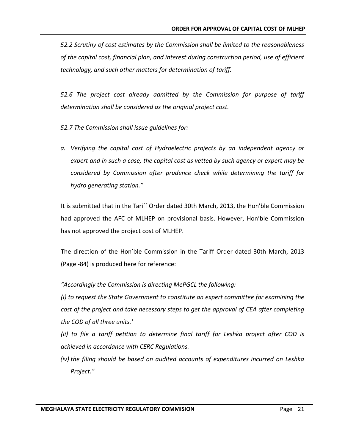*52.2 Scrutiny of cost estimates by the Commission shall be limited to the reasonableness of the capital cost, financial plan, and interest during construction period, use of efficient technology, and such other matters for determination of tariff.*

*52.6 The project cost already admitted by the Commission for purpose of tariff determination shall be considered as the original project cost.*

*52.7 The Commission shall issue guidelines for:*

*a. Verifying the capital cost of Hydroelectric projects by an independent agency or expert and in such a case, the capital cost as vetted by such agency or expert may be considered by Commission after prudence check while determining the tariff for hydro generating station."*

It is submitted that in the Tariff Order dated 30th March, 2013, the Hon'ble Commission had approved the AFC of MLHEP on provisional basis. However, Hon'ble Commission has not approved the project cost of MLHEP.

The direction of the Hon'ble Commission in the Tariff Order dated 30th March, 2013 (Page -84) is produced here for reference:

*"Accordingly the Commission is directing MePGCL the following:*

*(i) to request the State Government to constitute an expert committee for examining the cost of the project and take necessary steps to get the approval of CEA after completing the COD of all three units.'*

*(ii) to file a tariff petition to determine final tariff for Leshka project after COD is achieved in accordance with CERC Regulations.*

*(iv) the filing should be based on audited accounts of expenditures incurred on Leshka Project."*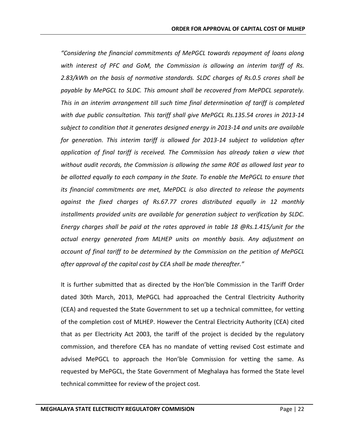*"Considering the financial commitments of MePGCL towards repayment of loans along with interest of PFC and GoM, the Commission is allowing an interim tariff of Rs. 2.83/kWh on the basis of normative standards. SLDC charges of Rs.0.5 crores shall be payable by MePGCL to SLDC. This amount shall be recovered from MePDCL separately. This in an interim arrangement till such time final determination of tariff is completed with due public consultation. This tariff shall give MePGCL Rs.135.54 crores in 2013-14 subject to condition that it generates designed energy in 2013-14 and units are available for generation. This interim tariff is allowed for 2013-14 subject to validation after application of final tariff is received. The Commission has already taken a view that without audit records, the Commission is allowing the same ROE as allowed last year to be allotted equally to each company in the State. To enable the MePGCL to ensure that its financial commitments are met, MePDCL is also directed to release the payments against the fixed charges of Rs.67.77 crores distributed equally in 12 monthly installments provided units are available for generation subject to verification by SLDC. Energy charges shall be paid at the rates approved in table 18 @Rs.1.415/unit for the actual energy generated from MLHEP units on monthly basis. Any adjustment on account of final tariff to be determined by the Commission on the petition of MePGCL after approval of the capital cost by CEA shall be made thereafter."*

It is further submitted that as directed by the Hon'ble Commission in the Tariff Order dated 30th March, 2013, MePGCL had approached the Central Electricity Authority (CEA) and requested the State Government to set up a technical committee, for vetting of the completion cost of MLHEP. However the Central Electricity Authority (CEA) cited that as per Electricity Act 2003, the tariff of the project is decided by the regulatory commission, and therefore CEA has no mandate of vetting revised Cost estimate and advised MePGCL to approach the Hon'ble Commission for vetting the same. As requested by MePGCL, the State Government of Meghalaya has formed the State level technical committee for review of the project cost.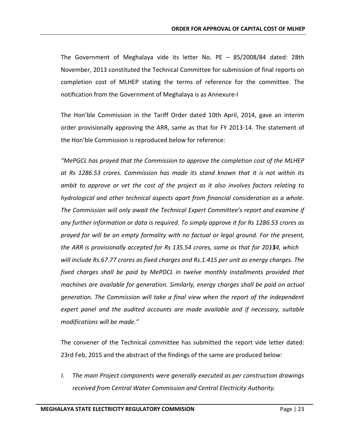The Government of Meghalaya vide its letter No. PE – 85/2008/84 dated: 28th November, 2013 constituted the Technical Committee for submission of final reports on completion cost of MLHEP stating the terms of reference for the committee. The notification from the Government of Meghalaya is as Annexure-I

The Hon'ble Commission in the Tariff Order dated 10th April, 2014, gave an interim order provisionally approving the ARR, same as that for FY 2013-14. The statement of the Hon'ble Commission is reproduced below for reference:

*"MePGCL has prayed that the Commission to approve the completion cost of the MLHEP at Rs 1286.53 crores. Commission has made its stand known that it is not within its ambit to approve or vet the cost of the project as it also involves factors relating to hydrological and other technical aspects apart from financial consideration as a whole. The Commission will only await the Technical Expert Committee's report and examine if any further information or data is required. To simply approve it for Rs 1286.53 crores as prayed for will be an empty formality with no factual or legal ground. For the present,*  the ARR is provisionally accepted for Rs 135.54 crores, same as that for 20134, which *will include Rs.67.77 crores as fixed charges and Rs.1.415 per unit as energy charges. The fixed charges shall be paid by MePDCL in twelve monthly installments provided that machines are available for generation. Similarly, energy charges shall be paid on actual generation. The Commission will take a final view when the report of the independent expert panel and the audited accounts are made available and if necessary, suitable modifications will be made."*

The convener of the Technical committee has submitted the report vide letter dated: 23rd Feb, 2015 and the abstract of the findings of the same are produced below:

*I. The main Project components were generally executed as per construction drawings received from Central Water Commission and Central Electricity Authority.*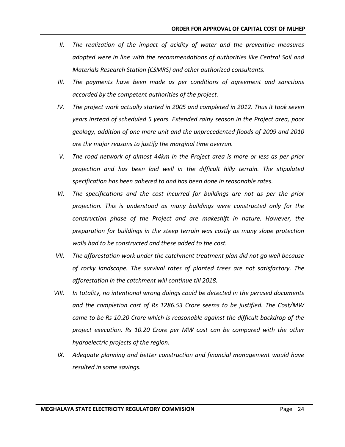- *II. The realization of the impact of acidity of water and the preventive measures adopted were in line with the recommendations of authorities like Central Soil and Materials Research Station (CSMRS) and other authorized consultants.*
- *III. The payments have been made as per conditions of agreement and sanctions accorded by the competent authorities of the project.*
- *IV. The project work actually started in 2005 and completed in 2012. Thus it took seven years instead of scheduled 5 years. Extended rainy season in the Project area, poor geology, addition of one more unit and the unprecedented floods of 2009 and 2010 are the major reasons to justify the marginal time overrun.*
- *V. The road network of almost 44km in the Project area is more or less as per prior projection and has been laid well in the difficult hilly terrain. The stipulated specification has been adhered to and has been done in reasonable rates.*
- *VI.* The specifications and the cost incurred for buildings are not as per the prior *projection. This is understood as many buildings were constructed only for the construction phase of the Project and are makeshift in nature. However, the preparation for buildings in the steep terrain was costly as many slope protection walls had to be constructed and these added to the cost.*
- *VII. The afforestation work under the catchment treatment plan did not go well because of rocky landscape. The survival rates of planted trees are not satisfactory. The afforestation in the catchment will continue till 2018.*
- *VIII. In totality, no intentional wrong doings could be detected in the perused documents and the completion cost of Rs 1286.53 Crore seems to be justified. The Cost/MW came to be Rs 10.20 Crore which is reasonable against the difficult backdrop of the project execution. Rs 10.20 Crore per MW cost can be compared with the other hydroelectric projects of the region.*
- *IX.* Adequate planning and better construction and financial management would have *resulted in some savings.*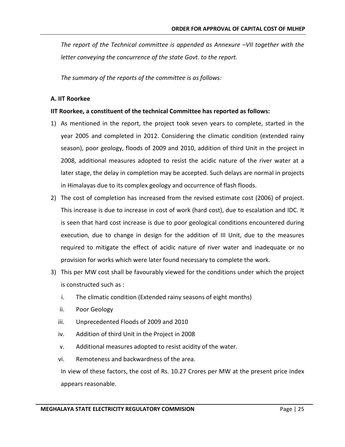*The report of the Technical committee is appended as Annexure –VII together with the letter conveying the concurrence of the state Govt. to the report.*

*The summary of the reports of the committee is as follows:* 

#### **A. IIT Roorkee**

#### **IIT Roorkee, a constituent of the technical Committee has reported as follows:**

- 1) As mentioned in the report, the project took seven years to complete, started in the year 2005 and completed in 2012. Considering the climatic condition (extended rainy season), poor geology, floods of 2009 and 2010, addition of third Unit in the project in 2008, additional measures adopted to resist the acidic nature of the river water at a later stage, the delay in completion may be accepted. Such delays are normal in projects in Himalayas due to its complex geology and occurrence of flash floods.
- 2) The cost of completion has increased from the revised estimate cost (2006) of project. This increase is due to increase in cost of work (hard cost), due to escalation and IDC. It is seen that hard cost increase is due to poor geological conditions encountered during execution, due to change in design for the addition of III Unit, due to the measures required to mitigate the effect of acidic nature of river water and inadequate or no provision for works which were later found necessary to complete the work.
- 3) This per MW cost shall be favourably viewed for the conditions under which the project is constructed such as :
	- i. The climatic condition (Extended rainy seasons of eight months)
	- ii. Poor Geology
	- iii. Unprecedented Floods of 2009 and 2010
	- iv. Addition of third Unit in the Project in 2008
	- v. Additional measures adopted to resist acidity of the water.
	- vi. Remoteness and backwardness of the area.

In view of these factors, the cost of Rs. 10.27 Crores per MW at the present price index appears reasonable.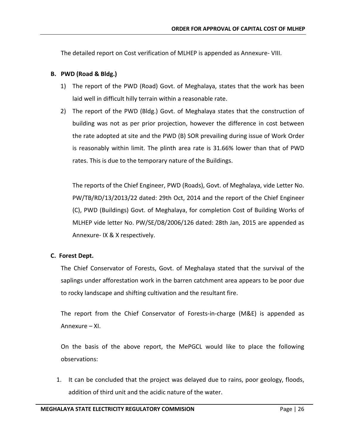The detailed report on Cost verification of MLHEP is appended as Annexure- VIII.

## **B. PWD (Road & Bldg.)**

- 1) The report of the PWD (Road) Govt. of Meghalaya, states that the work has been laid well in difficult hilly terrain within a reasonable rate.
- 2) The report of the PWD (Bldg.) Govt. of Meghalaya states that the construction of building was not as per prior projection, however the difference in cost between the rate adopted at site and the PWD (B) SOR prevailing during issue of Work Order is reasonably within limit. The plinth area rate is 31.66% lower than that of PWD rates. This is due to the temporary nature of the Buildings.

The reports of the Chief Engineer, PWD (Roads), Govt. of Meghalaya, vide Letter No. PW/TB/RD/13/2013/22 dated: 29th Oct, 2014 and the report of the Chief Engineer (C), PWD (Buildings) Govt. of Meghalaya, for completion Cost of Building Works of MLHEP vide letter No. PW/SE/D8/2006/126 dated: 28th Jan, 2015 are appended as Annexure- IX & X respectively.

# **C. Forest Dept.**

The Chief Conservator of Forests, Govt. of Meghalaya stated that the survival of the saplings under afforestation work in the barren catchment area appears to be poor due to rocky landscape and shifting cultivation and the resultant fire.

The report from the Chief Conservator of Forests-in-charge (M&E) is appended as Annexure – XI.

On the basis of the above report, the MePGCL would like to place the following observations:

1. It can be concluded that the project was delayed due to rains, poor geology, floods, addition of third unit and the acidic nature of the water.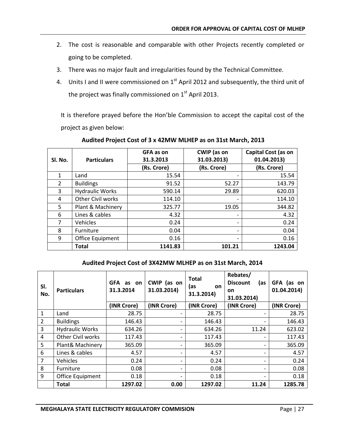- 2. The cost is reasonable and comparable with other Projects recently completed or going to be completed.
- 3. There was no major fault and irregularities found by the Technical Committee.
- 4. Units I and II were commissioned on 1<sup>st</sup> April 2012 and subsequently, the third unit of the project was finally commissioned on  $1<sup>st</sup>$  April 2013.

It is therefore prayed before the Hon'ble Commission to accept the capital cost of the project as given below:

| SI. No.        | <b>Particulars</b>       | GFA as on<br>31.3.2013 | <b>CWIP</b> (as on<br>31.03.2013) | Capital Cost (as on<br>01.04.2013) |
|----------------|--------------------------|------------------------|-----------------------------------|------------------------------------|
|                |                          | (Rs. Crore)            | (Rs. Crore)                       | (Rs. Crore)                        |
| 1              | Land                     | 15.54                  | -                                 | 15.54                              |
| $\overline{2}$ | <b>Buildings</b>         | 91.52                  | 52.27                             | 143.79                             |
| 3              | <b>Hydraulic Works</b>   | 590.14                 | 29.89                             | 620.03                             |
| 4              | <b>Other Civil works</b> | 114.10                 |                                   | 114.10                             |
| 5              | Plant & Machinery        | 325.77                 | 19.05                             | 344.82                             |
| 6              | Lines & cables           | 4.32                   | $\overline{\phantom{0}}$          | 4.32                               |
| $\overline{7}$ | Vehicles                 | 0.24                   |                                   | 0.24                               |
| 8              | Furniture                | 0.04                   | -                                 | 0.04                               |
| 9              | Office Equipment         | 0.16                   | -                                 | 0.16                               |
|                | <b>Total</b>             | 1141.83                | 101.21                            | 1243.04                            |

## **Audited Project Cost of 3 x 42MW MLHEP as on 31st March, 2013**

# **Audited Project Cost of 3X42MW MLHEP as on 31st March, 2014**

| SI.<br>No.     | <b>Particulars</b>      | GFA as on<br>31.3.2014 | CWIP (as on<br>31.03.2014) | <b>Total</b><br>(as<br><b>on</b><br>31.3.2014) | Rebates/<br><b>Discount</b><br>(as<br>on<br>31.03.2014) | GFA (as on<br>01.04.2014) |
|----------------|-------------------------|------------------------|----------------------------|------------------------------------------------|---------------------------------------------------------|---------------------------|
|                |                         | (INR Crore)            | (INR Crore)                | (INR Crore)                                    | (INR Crore)                                             | (INR Crore)               |
| 1              | Land                    | 28.75                  |                            | 28.75                                          |                                                         | 28.75                     |
| $\overline{2}$ | <b>Buildings</b>        | 146.43                 |                            | 146.43                                         |                                                         | 146.43                    |
| 3              | <b>Hydraulic Works</b>  | 634.26                 |                            | 634.26                                         | 11.24                                                   | 623.02                    |
| 4              | Other Civil works       | 117.43                 |                            | 117.43                                         |                                                         | 117.43                    |
| 5              | Plant& Machinery        | 365.09                 |                            | 365.09                                         |                                                         | 365.09                    |
| 6              | Lines & cables          | 4.57                   |                            | 4.57                                           |                                                         | 4.57                      |
| $\overline{7}$ | Vehicles                | 0.24                   |                            | 0.24                                           |                                                         | 0.24                      |
| 8              | Furniture               | 0.08                   |                            | 0.08                                           |                                                         | 0.08                      |
| 9              | <b>Office Equipment</b> | 0.18                   |                            | 0.18                                           |                                                         | 0.18                      |
|                | <b>Total</b>            | 1297.02                | 0.00                       | 1297.02                                        | 11.24                                                   | 1285.78                   |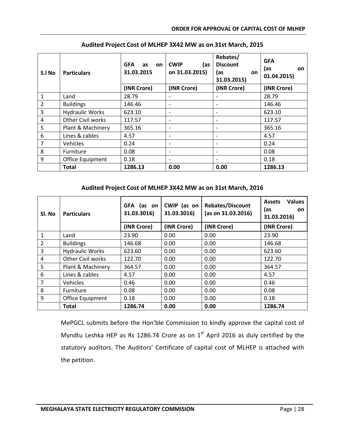| S.I No         | <b>Particulars</b>     | <b>GFA</b><br>as<br>on<br>31.03.2015 | <b>CWIP</b><br>(as<br>on 31.03.2015) | Rebates/<br><b>Discount</b><br>(as<br>on.<br>31.03.2015) | <b>GFA</b><br>(as<br>on<br>01.04.2015) |
|----------------|------------------------|--------------------------------------|--------------------------------------|----------------------------------------------------------|----------------------------------------|
|                |                        | (INR Crore)                          | (INR Crore)                          | (INR Crore)                                              | (INR Crore)                            |
| 1              | Land                   | 28.79                                |                                      |                                                          | 28.79                                  |
| $\overline{2}$ | <b>Buildings</b>       | 146.46                               | $\overline{\phantom{a}}$             |                                                          | 146.46                                 |
| 3              | <b>Hydraulic Works</b> | 623.10                               | $\overline{\phantom{a}}$             |                                                          | 623.10                                 |
| 4              | Other Civil works      | 117.57                               | $\overline{\phantom{a}}$             |                                                          | 117.57                                 |
| 5              | Plant & Machinery      | 365.16                               | $\overline{\phantom{a}}$             |                                                          | 365.16                                 |
| 6              | Lines & cables         | 4.57                                 | $\overline{\phantom{a}}$             |                                                          | 4.57                                   |
| 7              | Vehicles               | 0.24                                 | $\overline{\phantom{a}}$             |                                                          | 0.24                                   |
| 8              | Furniture              | 0.08                                 | $\overline{\phantom{a}}$             |                                                          | 0.08                                   |
| 9              | Office Equipment       | 0.18                                 | $\overline{\phantom{a}}$             |                                                          | 0.18                                   |
|                | <b>Total</b>           | 1286.13                              | 0.00                                 | 0.00                                                     | 1286.13                                |

### **Audited Project Cost of MLHEP 3X42 MW as on 31st March, 2015**

## **Audited Project Cost of MLHEP 3X42 MW as on 31st March, 2016**

| Sl. No         | <b>Particulars</b>     | <b>GFA</b><br>(as on<br>31.03.3016) | CWIP (as on<br>31.03.3016) | <b>Rebates/Discount</b><br>(as on 31.03.2016) | <b>Values</b><br><b>Assets</b><br>(as<br><b>on</b><br>31.03.2016) |
|----------------|------------------------|-------------------------------------|----------------------------|-----------------------------------------------|-------------------------------------------------------------------|
|                |                        | (INR Crore)                         | (INR Crore)                | (INR Crore)                                   | (INR Crore)                                                       |
| 1              | Land                   | 23.90                               | 0.00                       | 0.00                                          | 23.90                                                             |
| $\overline{2}$ | <b>Buildings</b>       | 146.68                              | 0.00                       | 0.00                                          | 146.68                                                            |
| 3              | <b>Hydraulic Works</b> | 623.60                              | 0.00                       | 0.00                                          | 623.60                                                            |
| 4              | Other Civil works      | 122.70                              | 0.00                       | 0.00                                          | 122.70                                                            |
| 5              | Plant & Machinery      | 364.57                              | 0.00                       | 0.00                                          | 364.57                                                            |
| 6              | Lines & cables         | 4.57                                | 0.00                       | 0.00                                          | 4.57                                                              |
| $\overline{7}$ | Vehicles               | 0.46                                | 0.00                       | 0.00                                          | 0.46                                                              |
| 8              | Furniture              | 0.08                                | 0.00                       | 0.00                                          | 0.08                                                              |
| 9              | Office Equipment       | 0.18                                | 0.00                       | 0.00                                          | 0.18                                                              |
|                | <b>Total</b>           | 1286.74                             | 0.00                       | 0.00                                          | 1286.74                                                           |

MePGCL submits before the Hon'ble Commission to kindly approve the capital cost of Myndtu Leshka HEP as Rs 1286.74 Crore as on  $1<sup>st</sup>$  April 2016 as duly certified by the statutory auditors. The Auditors' Certificate of capital cost of MLHEP is attached with the petition.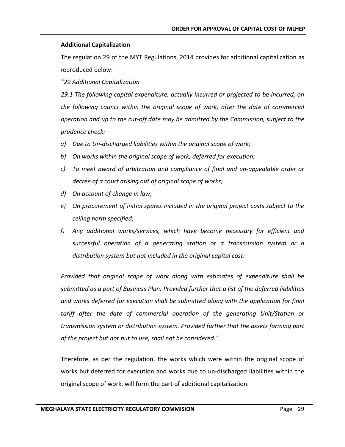## **Additional Capitalization**

The regulation 29 of the MYT Regulations, 2014 provides for additional capitalization as reproduced below:

*"29 Additional Capitalization*

*29.1 The following capital expenditure, actually incurred or projected to be incurred, on the following counts within the original scope of work, after the date of commercial operation and up to the cut-off date may be admitted by the Commission, subject to the prudence check:*

- *a) Due to Un-discharged liabilities within the original scope of work;*
- *b) On works within the original scope of work, deferred for execution;*
- *c) To meet award of arbitration and compliance of final and un-appealable order or decree of a court arising out of original scope of works;*
- *d) On account of change in law;*
- *e) On procurement of initial spares included in the original project costs subject to the ceiling norm specified;*
- *f) Any additional works/services, which have become necessary for efficient and successful operation of a generating station or a transmission system or a distribution system but not included in the original capital cost:*

*Provided that original scope of work along with estimates of expenditure shall be submitted as a part of Business Plan: Provided further that a list of the deferred liabilities and works deferred for execution shall be submitted along with the application for final*  tariff after the date of commercial operation of the generating Unit/Station or *transmission system or distribution system. Provided further that the assets forming part of the project but not put to use, shall not be considered."*

Therefore, as per the regulation, the works which were within the original scope of works but deferred for execution and works due to un-discharged liabilities within the original scope of work, will form the part of additional capitalization.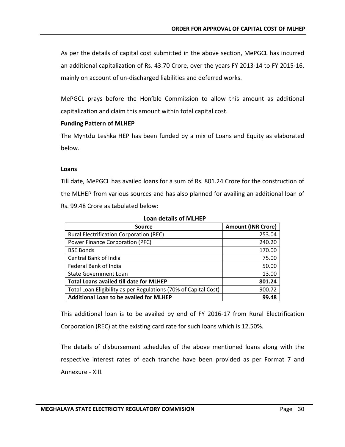As per the details of capital cost submitted in the above section, MePGCL has incurred an additional capitalization of Rs. 43.70 Crore, over the years FY 2013-14 to FY 2015-16, mainly on account of un-discharged liabilities and deferred works.

MePGCL prays before the Hon'ble Commission to allow this amount as additional capitalization and claim this amount within total capital cost.

## **Funding Pattern of MLHEP**

The Myntdu Leshka HEP has been funded by a mix of Loans and Equity as elaborated below.

## **Loans**

Till date, MePGCL has availed loans for a sum of Rs. 801.24 Crore for the construction of the MLHEP from various sources and has also planned for availing an additional loan of Rs. 99.48 Crore as tabulated below:

| <b>Source</b>                                                   | <b>Amount (INR Crore)</b> |
|-----------------------------------------------------------------|---------------------------|
| <b>Rural Electrification Corporation (REC)</b>                  | 253.04                    |
| Power Finance Corporation (PFC)                                 | 240.20                    |
| <b>BSE Bonds</b>                                                | 170.00                    |
| Central Bank of India                                           | 75.00                     |
| Federal Bank of India                                           | 50.00                     |
| <b>State Government Loan</b>                                    | 13.00                     |
| <b>Total Loans availed till date for MLHEP</b>                  | 801.24                    |
| Total Loan Eligibility as per Regulations (70% of Capital Cost) | 900.72                    |
| <b>Additional Loan to be availed for MLHEP</b>                  | 99.48                     |

**Loan details of MLHEP**

This additional loan is to be availed by end of FY 2016-17 from Rural Electrification Corporation (REC) at the existing card rate for such loans which is 12.50%.

The details of disbursement schedules of the above mentioned loans along with the respective interest rates of each tranche have been provided as per Format 7 and Annexure - XIII.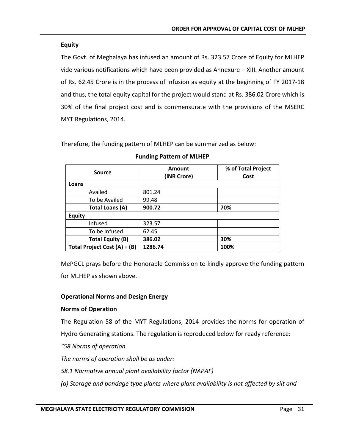# **Equity**

The Govt. of Meghalaya has infused an amount of Rs. 323.57 Crore of Equity for MLHEP vide various notifications which have been provided as Annexure – XIII. Another amount of Rs. 62.45 Crore is in the process of infusion as equity at the beginning of FY 2017-18 and thus, the total equity capital for the project would stand at Rs. 386.02 Crore which is 30% of the final project cost and is commensurate with the provisions of the MSERC MYT Regulations, 2014.

Therefore, the funding pattern of MLHEP can be summarized as below:

| <b>Source</b>                | Amount<br>(INR Crore) | % of Total Project<br>Cost |
|------------------------------|-----------------------|----------------------------|
| Loans                        |                       |                            |
| Availed                      | 801.24                |                            |
| To be Availed                | 99.48                 |                            |
| <b>Total Loans (A)</b>       | 900.72                | 70%                        |
| <b>Equity</b>                |                       |                            |
| Infused                      | 323.57                |                            |
| To be Infused                | 62.45                 |                            |
| Total Equity (B)             | 386.02                | 30%                        |
| Total Project Cost (A) + (B) | 1286.74               | 100%                       |

#### **Funding Pattern of MLHEP**

MePGCL prays before the Honorable Commission to kindly approve the funding pattern for MLHEP as shown above.

# **Operational Norms and Design Energy**

# **Norms of Operation**

The Regulation 58 of the MYT Regulations, 2014 provides the norms for operation of Hydro Generating stations. The regulation is reproduced below for ready reference:

*"58 Norms of operation*

*The norms of operation shall be as under:*

*58.1 Normative annual plant availability factor (NAPAF)*

*(a) Storage and pondage type plants where plant availability is not affected by silt and*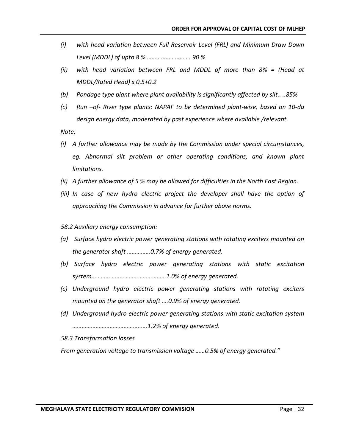- *(i) with head variation between Full Reservoir Level (FRL) and Minimum Draw Down Level (MDDL) of upto 8 % ………………………. 90 %*
- *(ii) with head variation between FRL and MDDL of more than 8% = (Head at MDDL/Rated Head) x 0.5+0.2*
- *(b) Pondage type plant where plant availability is significantly affected by silt.. ..85%*
- *(c) Run –of- River type plants: NAPAF to be determined plant-wise, based on 10-da design energy data, moderated by past experience where available /relevant.*

*Note:*

- *(i) A further allowance may be made by the Commission under special circumstances,*  eg. Abnormal silt problem or other operating conditions, and known plant *limitations.*
- *(ii) A further allowance of 5 % may be allowed for difficulties in the North East Region.*
- *(iii)* In case of new hydro electric project the developer shall have the option of *approaching the Commission in advance for further above norms.*
- *58.2 Auxiliary energy consumption:*
- *(a) Surface hydro electric power generating stations with rotating exciters mounted on the generator shaft ……………0.7% of energy generated.*
- *(b) Surface hydro electric power generating stations with static excitation system…………………………………………1.0% of energy generated.*
- *(c) Underground hydro electric power generating stations with rotating exciters mounted on the generator shaft ….0.9% of energy generated.*
- *(d) Underground hydro electric power generating stations with static excitation system ……………………………………..….1.2% of energy generated.*
- *58.3 Transformation losses*

*From generation voltage to transmission voltage ……0.5% of energy generated."*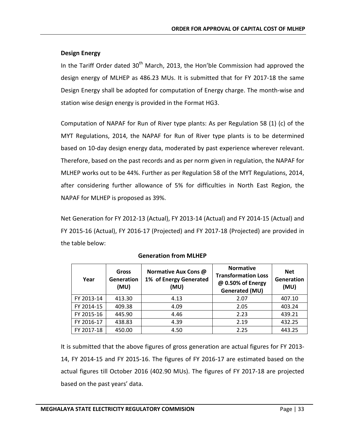## **Design Energy**

In the Tariff Order dated  $30<sup>th</sup>$  March, 2013, the Hon'ble Commission had approved the design energy of MLHEP as 486.23 MUs. It is submitted that for FY 2017-18 the same Design Energy shall be adopted for computation of Energy charge. The month-wise and station wise design energy is provided in the Format HG3.

Computation of NAPAF for Run of River type plants: As per Regulation 58 (1) (c) of the MYT Regulations, 2014, the NAPAF for Run of River type plants is to be determined based on 10-day design energy data, moderated by past experience wherever relevant. Therefore, based on the past records and as per norm given in regulation, the NAPAF for MLHEP works out to be 44%. Further as per Regulation 58 of the MYT Regulations, 2014, after considering further allowance of 5% for difficulties in North East Region, the NAPAF for MLHEP is proposed as 39%.

Net Generation for FY 2012-13 (Actual), FY 2013-14 (Actual) and FY 2014-15 (Actual) and FY 2015-16 (Actual), FY 2016-17 (Projected) and FY 2017-18 (Projected) are provided in the table below:

| Year       | Gross<br><b>Generation</b><br>(MU) | Normative Aux Cons @<br>1% of Energy Generated<br>(MU) | <b>Normative</b><br><b>Transformation Loss</b><br>@ 0.50% of Energy<br><b>Generated (MU)</b> | <b>Net</b><br>Generation<br>(MU) |
|------------|------------------------------------|--------------------------------------------------------|----------------------------------------------------------------------------------------------|----------------------------------|
| FY 2013-14 | 413.30                             | 4.13                                                   | 2.07                                                                                         | 407.10                           |
| FY 2014-15 | 409.38                             | 4.09                                                   | 2.05                                                                                         | 403.24                           |
| FY 2015-16 | 445.90                             | 4.46                                                   | 2.23                                                                                         | 439.21                           |
| FY 2016-17 | 438.83                             | 4.39                                                   | 2.19                                                                                         | 432.25                           |
| FY 2017-18 | 450.00                             | 4.50                                                   | 2.25                                                                                         | 443.25                           |

**Generation from MLHEP**

It is submitted that the above figures of gross generation are actual figures for FY 2013- 14, FY 2014-15 and FY 2015-16. The figures of FY 2016-17 are estimated based on the actual figures till October 2016 (402.90 MUs). The figures of FY 2017-18 are projected based on the past years' data.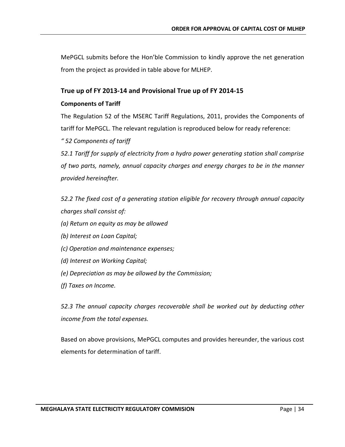MePGCL submits before the Hon'ble Commission to kindly approve the net generation from the project as provided in table above for MLHEP.

# **True up of FY 2013-14 and Provisional True up of FY 2014-15**

# **Components of Tariff**

The Regulation 52 of the MSERC Tariff Regulations, 2011, provides the Components of tariff for MePGCL. The relevant regulation is reproduced below for ready reference:

*" 52 Components of tariff* 

*52.1 Tariff for supply of electricity from a hydro power generating station shall comprise of two parts, namely, annual capacity charges and energy charges to be in the manner provided hereinafter.* 

*52.2 The fixed cost of a generating station eligible for recovery through annual capacity charges shall consist of:* 

*(a) Return on equity as may be allowed* 

- *(b) Interest on Loan Capital;*
- *(c) Operation and maintenance expenses;*
- *(d) Interest on Working Capital;*
- *(e) Depreciation as may be allowed by the Commission;*
- *(f) Taxes on Income.*

*52.3 The annual capacity charges recoverable shall be worked out by deducting other income from the total expenses.*

Based on above provisions, MePGCL computes and provides hereunder, the various cost elements for determination of tariff.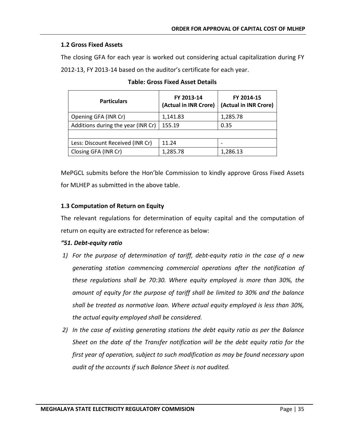#### **1.2 Gross Fixed Assets**

The closing GFA for each year is worked out considering actual capitalization during FY 2012-13, FY 2013-14 based on the auditor's certificate for each year.

| <b>Particulars</b>                 | FY 2013-14<br>(Actual in INR Crore) | FY 2014-15<br>(Actual in INR Crore) |
|------------------------------------|-------------------------------------|-------------------------------------|
| Opening GFA (INR Cr)               | 1,141.83                            | 1,285.78                            |
| Additions during the year (INR Cr) | 155.19                              | 0.35                                |
|                                    |                                     |                                     |
| Less: Discount Received (INR Cr)   | 11.24                               |                                     |
| Closing GFA (INR Cr)               | 1,285.78                            | 1,286.13                            |

MePGCL submits before the Hon'ble Commission to kindly approve Gross Fixed Assets for MLHEP as submitted in the above table.

# **1.3 Computation of Return on Equity**

The relevant regulations for determination of equity capital and the computation of return on equity are extracted for reference as below:

#### *"51. Debt-equity ratio*

- *1) For the purpose of determination of tariff, debt-equity ratio in the case of a new generating station commencing commercial operations after the notification of these regulations shall be 70:30. Where equity employed is more than 30%, the amount of equity for the purpose of tariff shall be limited to 30% and the balance shall be treated as normative loan. Where actual equity employed is less than 30%, the actual equity employed shall be considered.*
- *2) In the case of existing generating stations the debt equity ratio as per the Balance Sheet on the date of the Transfer notification will be the debt equity ratio for the first year of operation, subject to such modification as may be found necessary upon audit of the accounts if such Balance Sheet is not audited.*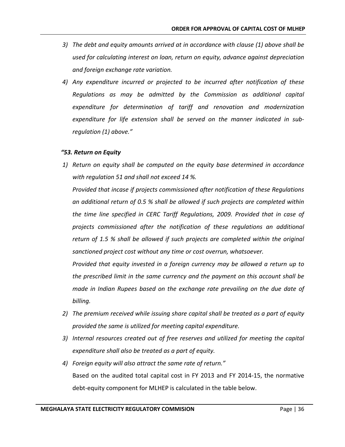- *3) The debt and equity amounts arrived at in accordance with clause (1) above shall be used for calculating interest on loan, return on equity, advance against depreciation and foreign exchange rate variation.*
- *4) Any expenditure incurred or projected to be incurred after notification of these Regulations as may be admitted by the Commission as additional capital expenditure for determination of tariff and renovation and modernization expenditure for life extension shall be served on the manner indicated in subregulation (1) above."*

#### *"53. Return on Equity*

*1) Return on equity shall be computed on the equity base determined in accordance with regulation 51 and shall not exceed 14 %.*

*Provided that incase if projects commissioned after notification of these Regulations an additional return of 0.5 % shall be allowed if such projects are completed within the time line specified in CERC Tariff Regulations, 2009. Provided that in case of projects commissioned after the notification of these regulations an additional return of 1.5 % shall be allowed if such projects are completed within the original sanctioned project cost without any time or cost overrun, whatsoever.*

*Provided that equity invested in a foreign currency may be allowed a return up to the prescribed limit in the same currency and the payment on this account shall be made in Indian Rupees based on the exchange rate prevailing on the due date of billing.*

- *2) The premium received while issuing share capital shall be treated as a part of equity provided the same is utilized for meeting capital expenditure.*
- *3) Internal resources created out of free reserves and utilized for meeting the capital expenditure shall also be treated as a part of equity.*
- *4) Foreign equity will also attract the same rate of return."* Based on the audited total capital cost in FY 2013 and FY 2014-15, the normative debt-equity component for MLHEP is calculated in the table below.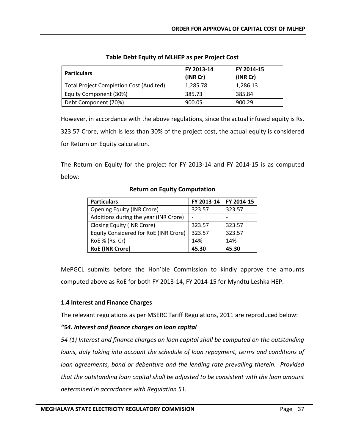| <b>Particulars</b>                             | FY 2013-14<br>(INR Cr) | FY 2014-15<br>(INR Cr) |
|------------------------------------------------|------------------------|------------------------|
| <b>Total Project Completion Cost (Audited)</b> | 1,285.78               | 1,286.13               |
| Equity Component (30%)                         | 385.73                 | 385.84                 |
| Debt Component (70%)                           | 900.05                 | 900.29                 |

# **Table Debt Equity of MLHEP as per Project Cost**

However, in accordance with the above regulations, since the actual infused equity is Rs. 323.57 Crore, which is less than 30% of the project cost, the actual equity is considered for Return on Equity calculation.

The Return on Equity for the project for FY 2013-14 and FY 2014-15 is as computed below:

| <b>Particulars</b>                    | FY 2013-14               | FY 2014-15 |
|---------------------------------------|--------------------------|------------|
| <b>Opening Equity (INR Crore)</b>     | 323.57                   | 323.57     |
| Additions during the year (INR Crore) | $\overline{\phantom{0}}$ |            |
| Closing Equity (INR Crore)            | 323.57                   | 323.57     |
| Equity Considered for RoE (INR Crore) | 323.57                   | 323.57     |
| RoE % (Rs. Cr)                        | 14%                      | 14%        |
| <b>RoE (INR Crore)</b>                | 45.30                    | 45.30      |

# **Return on Equity Computation**

MePGCL submits before the Hon'ble Commission to kindly approve the amounts computed above as RoE for both FY 2013-14, FY 2014-15 for Myndtu Leshka HEP.

# **1.4 Interest and Finance Charges**

The relevant regulations as per MSERC Tariff Regulations, 2011 are reproduced below:

# *"54. Interest and finance charges on loan capital*

*54 (1) Interest and finance charges on loan capital shall be computed on the outstanding loans, duly taking into account the schedule of loan repayment, terms and conditions of loan agreements, bond or debenture and the lending rate prevailing therein. Provided that the outstanding loan capital shall be adjusted to be consistent with the loan amount determined in accordance with Regulation 51.*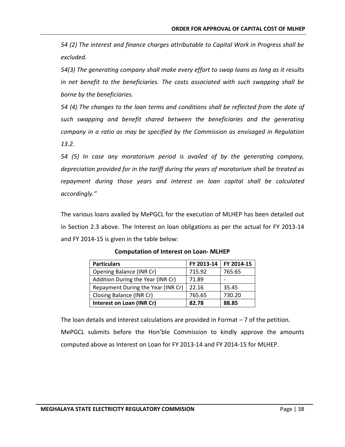*54 (2) The interest and finance charges attributable to Capital Work in Progress shall be excluded.*

*54(3) The generating company shall make every effort to swap loans as long as it results in net benefit to the beneficiaries. The costs associated with such swapping shall be borne by the beneficiaries.*

*54 (4) The changes to the loan terms and conditions shall be reflected from the date of such swapping and benefit shared between the beneficiaries and the generating company in a ratio as may be specified by the Commission as envisaged in Regulation 13.2.*

*54 (5) In case any moratorium period is availed of by the generating company, depreciation provided for in the tariff during the years of moratorium shall be treated as repayment during those years and interest on loan capital shall be calculated accordingly."*

The various loans availed by MePGCL for the execution of MLHEP has been detailed out in Section 2.3 above. The Interest on loan obligations as per the actual for FY 2013-14 and FY 2014-15 is given in the table below:

| <b>Particulars</b>                 | FY 2013-14 | FY 2014-15 |
|------------------------------------|------------|------------|
| Opening Balance (INR Cr)           | 715.92     | 765.65     |
| Addition During the Year (INR Cr)  | 71.89      |            |
| Repayment During the Year (INR Cr) | 22.16      | 35.45      |
| Closing Balance (INR Cr)           | 765.65     | 730.20     |
| Interest on Loan (INR Cr)          | 82.78      | 88.85      |

**Computation of Interest on Loan- MLHEP**

The loan details and Interest calculations are provided in Format – 7 of the petition. MePGCL submits before the Hon'ble Commission to kindly approve the amounts computed above as Interest on Loan for FY 2013-14 and FY 2014-15 for MLHEP.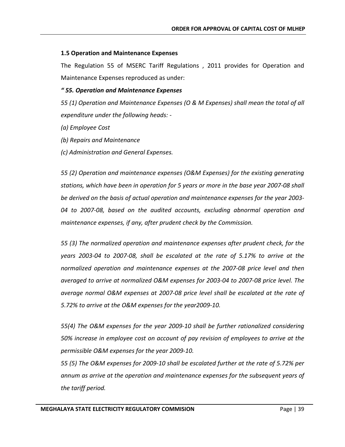# **1.5 Operation and Maintenance Expenses**

The Regulation 55 of MSERC Tariff Regulations , 2011 provides for Operation and Maintenance Expenses reproduced as under:

# *" 55. Operation and Maintenance Expenses*

*55 (1) Operation and Maintenance Expenses (O & M Expenses) shall mean the total of all expenditure under the following heads: -*

- *(a) Employee Cost*
- *(b) Repairs and Maintenance*
- *(c) Administration and General Expenses.*

*55 (2) Operation and maintenance expenses (O&M Expenses) for the existing generating stations, which have been in operation for 5 years or more in the base year 2007-08 shall be derived on the basis of actual operation and maintenance expenses for the year 2003- 04 to 2007-08, based on the audited accounts, excluding abnormal operation and maintenance expenses, if any, after prudent check by the Commission.*

*55 (3) The normalized operation and maintenance expenses after prudent check, for the years 2003-04 to 2007-08, shall be escalated at the rate of 5.17% to arrive at the normalized operation and maintenance expenses at the 2007-08 price level and then averaged to arrive at normalized O&M expenses for 2003-04 to 2007-08 price level. The average normal O&M expenses at 2007-08 price level shall be escalated at the rate of 5.72% to arrive at the O&M expenses for the year2009-10.*

*55(4) The O&M expenses for the year 2009-10 shall be further rationalized considering 50% increase in employee cost on account of pay revision of employees to arrive at the permissible O&M expenses for the year 2009-10.*

*55 (5) The O&M expenses for 2009-10 shall be escalated further at the rate of 5.72% per annum as arrive at the operation and maintenance expenses for the subsequent years of the tariff period.*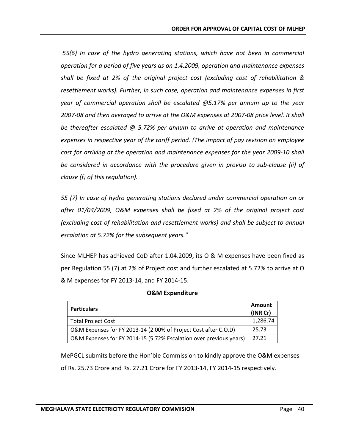*55(6) In case of the hydro generating stations, which have not been in commercial operation for a period of five years as on 1.4.2009, operation and maintenance expenses shall be fixed at 2% of the original project cost (excluding cost of rehabilitation & resettlement works). Further, in such case, operation and maintenance expenses in first year of commercial operation shall be escalated @5.17% per annum up to the year 2007-08 and then averaged to arrive at the O&M expenses at 2007-08 price level. It shall be thereafter escalated @ 5.72% per annum to arrive at operation and maintenance expenses in respective year of the tariff period. (The impact of pay revision on employee cost for arriving at the operation and maintenance expenses for the year 2009-10 shall be considered in accordance with the procedure given in proviso to sub-clause (ii) of clause (f) of this regulation).*

*55 (7) In case of hydro generating stations declared under commercial operation on or after 01/04/2009, O&M expenses shall be fixed at 2% of the original project cost (excluding cost of rehabilitation and resettlement works) and shall be subject to annual escalation at 5.72% for the subsequent years."*

Since MLHEP has achieved CoD after 1.04.2009, its O & M expenses have been fixed as per Regulation 55 (7) at 2% of Project cost and further escalated at 5.72% to arrive at O & M expenses for FY 2013-14, and FY 2014-15.

| <b>Particulars</b>                                                 | Amount<br>(INR Cr) |
|--------------------------------------------------------------------|--------------------|
| <b>Total Project Cost</b>                                          | 1,286.74           |
| O&M Expenses for FY 2013-14 (2.00% of Project Cost after C.O.D)    | 25.73              |
| O&M Expenses for FY 2014-15 (5.72% Escalation over previous years) | 27.21              |

|  | <b>O&amp;M Expenditure</b> |  |
|--|----------------------------|--|
|--|----------------------------|--|

MePGCL submits before the Hon'ble Commission to kindly approve the O&M expenses of Rs. 25.73 Crore and Rs. 27.21 Crore for FY 2013-14, FY 2014-15 respectively.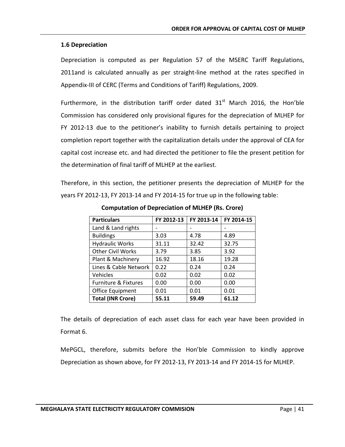# **1.6 Depreciation**

Depreciation is computed as per Regulation 57 of the MSERC Tariff Regulations, 2011and is calculated annually as per straight-line method at the rates specified in Appendix-III of CERC (Terms and Conditions of Tariff) Regulations, 2009.

Furthermore, in the distribution tariff order dated  $31<sup>st</sup>$  March 2016, the Hon'ble Commission has considered only provisional figures for the depreciation of MLHEP for FY 2012-13 due to the petitioner's inability to furnish details pertaining to project completion report together with the capitalization details under the approval of CEA for capital cost increase etc. and had directed the petitioner to file the present petition for the determination of final tariff of MLHEP at the earliest.

Therefore, in this section, the petitioner presents the depreciation of MLHEP for the years FY 2012-13, FY 2013-14 and FY 2014-15 for true up in the following table:

| <b>Particulars</b>              | FY 2012-13 | FY 2013-14 | FY 2014-15 |
|---------------------------------|------------|------------|------------|
| Land & Land rights              |            |            |            |
| <b>Buildings</b>                | 3.03       | 4.78       | 4.89       |
| <b>Hydraulic Works</b>          | 31.11      | 32.42      | 32.75      |
| <b>Other Civil Works</b>        | 3.79       | 3.85       | 3.92       |
| Plant & Machinery               | 16.92      | 18.16      | 19.28      |
| Lines & Cable Network           | 0.22       | 0.24       | 0.24       |
| Vehicles                        | 0.02       | 0.02       | 0.02       |
| <b>Furniture &amp; Fixtures</b> | 0.00       | 0.00       | 0.00       |
| Office Equipment                | 0.01       | 0.01       | 0.01       |
| <b>Total (INR Crore)</b>        | 55.11      | 59.49      | 61.12      |

**Computation of Depreciation of MLHEP (Rs. Crore)**

The details of depreciation of each asset class for each year have been provided in Format 6.

MePGCL, therefore, submits before the Hon'ble Commission to kindly approve Depreciation as shown above, for FY 2012-13, FY 2013-14 and FY 2014-15 for MLHEP.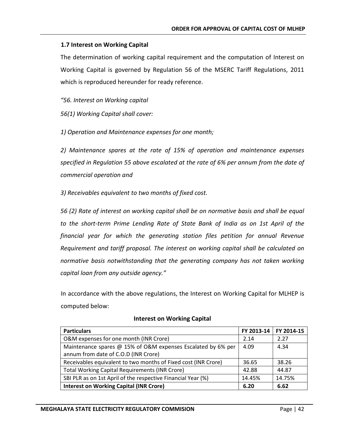# **1.7 Interest on Working Capital**

The determination of working capital requirement and the computation of Interest on Working Capital is governed by Regulation 56 of the MSERC Tariff Regulations, 2011 which is reproduced hereunder for ready reference.

*"56. Interest on Working capital*

*56(1) Working Capital shall cover:*

*1) Operation and Maintenance expenses for one month;*

*2) Maintenance spares at the rate of 15% of operation and maintenance expenses specified in Regulation 55 above escalated at the rate of 6% per annum from the date of commercial operation and*

*3) Receivables equivalent to two months of fixed cost.*

*56 (2) Rate of interest on working capital shall be on normative basis and shall be equal to the short-term Prime Lending Rate of State Bank of India as on 1st April of the financial year for which the generating station files petition for annual Revenue Requirement and tariff proposal. The interest on working capital shall be calculated on normative basis notwithstanding that the generating company has not taken working capital loan from any outside agency."*

In accordance with the above regulations, the Interest on Working Capital for MLHEP is computed below:

| <b>Particulars</b>                                             | FY 2013-14 | FY 2014-15 |
|----------------------------------------------------------------|------------|------------|
| O&M expenses for one month (INR Crore)                         | 2.14       | 2.27       |
| Maintenance spares @ 15% of O&M expenses Escalated by 6% per   | 4.09       | 4.34       |
| annum from date of C.O.D (INR Crore)                           |            |            |
| Receivables equivalent to two months of Fixed cost (INR Crore) | 36.65      | 38.26      |
| <b>Total Working Capital Requirements (INR Crore)</b>          | 42.88      | 44.87      |
| SBI PLR as on 1st April of the respective Financial Year (%)   | 14.45%     | 14.75%     |
| <b>Interest on Working Capital (INR Crore)</b>                 | 6.20       | 6.62       |

#### **Interest on Working Capital**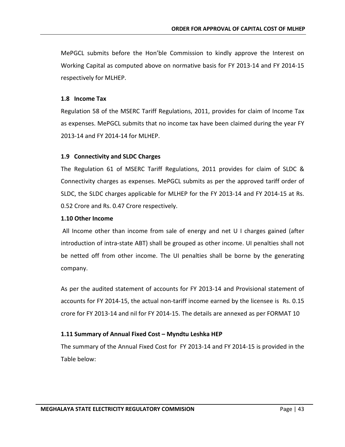MePGCL submits before the Hon'ble Commission to kindly approve the Interest on Working Capital as computed above on normative basis for FY 2013-14 and FY 2014-15 respectively for MLHEP.

#### **1.8 Income Tax**

Regulation 58 of the MSERC Tariff Regulations, 2011, provides for claim of Income Tax as expenses. MePGCL submits that no income tax have been claimed during the year FY 2013-14 and FY 2014-14 for MLHEP.

# **1.9 Connectivity and SLDC Charges**

The Regulation 61 of MSERC Tariff Regulations, 2011 provides for claim of SLDC & Connectivity charges as expenses. MePGCL submits as per the approved tariff order of SLDC, the SLDC charges applicable for MLHEP for the FY 2013-14 and FY 2014-15 at Rs. 0.52 Crore and Rs. 0.47 Crore respectively.

#### **1.10 Other Income**

All Income other than income from sale of energy and net U I charges gained (after introduction of intra-state ABT) shall be grouped as other income. UI penalties shall not be netted off from other income. The UI penalties shall be borne by the generating company.

As per the audited statement of accounts for FY 2013-14 and Provisional statement of accounts for FY 2014-15, the actual non-tariff income earned by the licensee is Rs. 0.15 crore for FY 2013-14 and nil for FY 2014-15. The details are annexed as per FORMAT 10

#### **1.11 Summary of Annual Fixed Cost – Myndtu Leshka HEP**

The summary of the Annual Fixed Cost for FY 2013-14 and FY 2014-15 is provided in the Table below: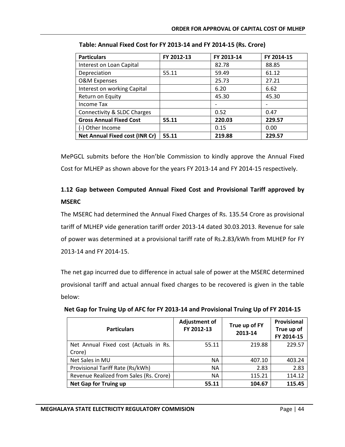| <b>Particulars</b>             | FY 2012-13 | FY 2013-14 | FY 2014-15 |
|--------------------------------|------------|------------|------------|
| Interest on Loan Capital       |            | 82.78      | 88.85      |
| Depreciation                   | 55.11      | 59.49      | 61.12      |
| O&M Expenses                   |            | 25.73      | 27.21      |
| Interest on working Capital    |            | 6.20       | 6.62       |
| Return on Equity               |            | 45.30      | 45.30      |
| <b>Income Tax</b>              |            |            |            |
| Connectivity & SLDC Charges    |            | 0.52       | 0.47       |
| <b>Gross Annual Fixed Cost</b> | 55.11      | 220.03     | 229.57     |
| (-) Other Income               |            | 0.15       | 0.00       |
| Net Annual Fixed cost (INR Cr) | 55.11      | 219.88     | 229.57     |

**Table: Annual Fixed Cost for FY 2013-14 and FY 2014-15 (Rs. Crore)**

MePGCL submits before the Hon'ble Commission to kindly approve the Annual Fixed Cost for MLHEP as shown above for the years FY 2013-14 and FY 2014-15 respectively.

# **1.12 Gap between Computed Annual Fixed Cost and Provisional Tariff approved by MSERC**

The MSERC had determined the Annual Fixed Charges of Rs. 135.54 Crore as provisional tariff of MLHEP vide generation tariff order 2013-14 dated 30.03.2013. Revenue for sale of power was determined at a provisional tariff rate of Rs.2.83/kWh from MLHEP for FY 2013-14 and FY 2014-15.

The net gap incurred due to difference in actual sale of power at the MSERC determined provisional tariff and actual annual fixed charges to be recovered is given in the table below:

| <b>Particulars</b>                      | <b>Adjustment of</b><br>FY 2012-13 | True up of FY<br>2013-14 | Provisional<br>True up of<br>FY 2014-15 |
|-----------------------------------------|------------------------------------|--------------------------|-----------------------------------------|
| Net Annual Fixed cost (Actuals in Rs.   | 55.11                              | 219.88                   | 229.57                                  |
| Crore)                                  |                                    |                          |                                         |
| Net Sales in MU                         | NА                                 | 407.10                   | 403.24                                  |
| Provisional Tariff Rate (Rs/kWh)        | <b>NA</b>                          | 2.83                     | 2.83                                    |
| Revenue Realized from Sales (Rs. Crore) | NА                                 | 115.21                   | 114.12                                  |
| <b>Net Gap for Truing up</b>            | 55.11                              | 104.67                   | 115.45                                  |

**Net Gap for Truing Up of AFC for FY 2013-14 and Provisional Truing Up of FY 2014-15**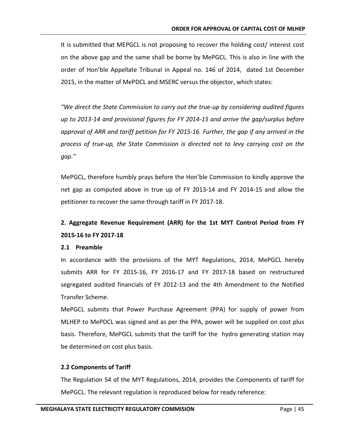It is submitted that MEPGCL is not proposing to recover the holding cost/ interest cost on the above gap and the same shall be borne by MePGCL. This is also in line with the order of Hon'ble Appellate Tribunal in Appeal no. 146 of 2014, dated 1st December 2015, in the matter of MePDCL and MSERC versus the objector, which states:

*"We direct the State Commission to carry out the true-up by considering audited figures up to 2013-14 and provisional figures for FY 2014-15 and arrive the gap/surplus before approval of ARR and tariff petition for FY 2015-16. Further, the gap if any arrived in the process of true-up, the State Commission is directed not to levy carrying cost on the gap."*

MePGCL, therefore humbly prays before the Hon'ble Commission to kindly approve the net gap as computed above in true up of FY 2013-14 and FY 2014-15 and allow the petitioner to recover the same through tariff in FY 2017-18.

# **2. Aggregate Revenue Requirement (ARR) for the 1st MYT Control Period from FY 2015-16 to FY 2017-18**

#### **2.1 Preamble**

In accordance with the provisions of the MYT Regulations, 2014, MePGCL hereby submits ARR for FY 2015-16, FY 2016-17 and FY 2017-18 based on restructured segregated audited financials of FY 2012-13 and the 4th Amendment to the Notified Transfer Scheme.

MePGCL submits that Power Purchase Agreement (PPA) for supply of power from MLHEP to MePDCL was signed and as per the PPA, power will be supplied on cost plus basis. Therefore, MePGCL submits that the tariff for the hydro generating station may be determined on cost plus basis.

# **2.2 Components of Tariff**

The Regulation 54 of the MYT Regulations, 2014, provides the Components of tariff for MePGCL. The relevant regulation is reproduced below for ready reference: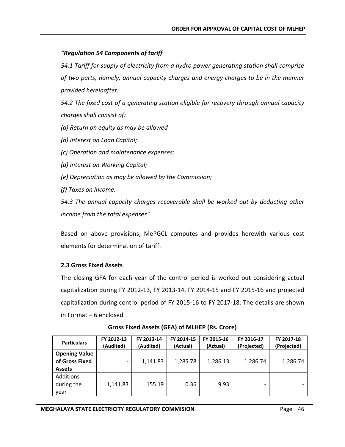# *"Regulation 54 Components of tariff*

*54.1 Tariff for supply of electricity from a hydro power generating station shall comprise of two parts, namely, annual capacity charges and energy charges to be in the manner provided hereinafter.*

*54.2 The fixed cost of a generating station eligible for recovery through annual capacity charges shall consist of:*

- *(a) Return on equity as may be allowed*
- *(b) Interest on Loan Capital;*
- *(c) Operation and maintenance expenses;*
- *(d) Interest on Working Capital;*
- *(e) Depreciation as may be allowed by the Commission;*
- *(f) Taxes on Income.*

*54.3 The annual capacity charges recoverable shall be worked out by deducting other income from the total expenses"*

Based on above provisions, MePGCL computes and provides herewith various cost elements for determination of tariff.

# **2.3 Gross Fixed Assets**

The closing GFA for each year of the control period is worked out considering actual capitalization during FY 2012-13, FY 2013-14, FY 2014-15 and FY 2015-16 and projected capitalization during control period of FY 2015-16 to FY 2017-18. The details are shown in Format – 6 enclosed

| <b>Particulars</b>                                      | FY 2012-13<br>(Audited) | FY 2013-14<br>(Audited) | FY 2014-15<br>(Actual) | FY 2015-16<br>(Actual) | FY 2016-17<br>(Projected) | FY 2017-18<br>(Projected) |
|---------------------------------------------------------|-------------------------|-------------------------|------------------------|------------------------|---------------------------|---------------------------|
| <b>Opening Value</b><br>of Gross Fixed<br><b>Assets</b> |                         | 1,141.83                | 1,285.78               | 1,286.13               | 1,286.74                  | 1,286.74                  |
| Additions<br>during the<br>vear                         | 1,141.83                | 155.19                  | 0.36                   | 9.93                   | $\overline{\phantom{a}}$  |                           |

**Gross Fixed Assets (GFA) of MLHEP (Rs. Crore)**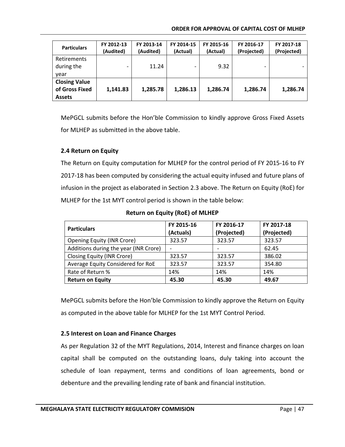| <b>Particulars</b>                                      | FY 2012-13<br>(Audited)  | FY 2013-14<br>(Audited) | FY 2014-15<br>(Actual) | FY 2015-16<br>(Actual) | FY 2016-17<br>(Projected) | FY 2017-18<br>(Projected) |
|---------------------------------------------------------|--------------------------|-------------------------|------------------------|------------------------|---------------------------|---------------------------|
| <b>Retirements</b><br>during the<br>vear                | $\overline{\phantom{a}}$ | 11.24                   |                        | 9.32                   | -                         |                           |
| <b>Closing Value</b><br>of Gross Fixed<br><b>Assets</b> | 1,141.83                 | 1,285.78                | 1,286.13               | 1,286.74               | 1,286.74                  | 1,286.74                  |

MePGCL submits before the Hon'ble Commission to kindly approve Gross Fixed Assets for MLHEP as submitted in the above table.

# **2.4 Return on Equity**

The Return on Equity computation for MLHEP for the control period of FY 2015-16 to FY 2017-18 has been computed by considering the actual equity infused and future plans of infusion in the project as elaborated in Section 2.3 above. The Return on Equity (RoE) for MLHEP for the 1st MYT control period is shown in the table below:

| <b>Particulars</b>                    | FY 2015-16<br>(Actuals) | FY 2016-17<br>(Projected) | FY 2017-18<br>(Projected) |
|---------------------------------------|-------------------------|---------------------------|---------------------------|
| <b>Opening Equity (INR Crore)</b>     | 323.57                  | 323.57                    | 323.57                    |
| Additions during the year (INR Crore) |                         |                           | 62.45                     |
| Closing Equity (INR Crore)            | 323.57                  | 323.57                    | 386.02                    |
| Average Equity Considered for RoE     | 323.57                  | 323.57                    | 354.80                    |
| Rate of Return %                      | 14%                     | 14%                       | 14%                       |
| <b>Return on Equity</b>               | 45.30                   | 45.30                     | 49.67                     |

**Return on Equity (RoE) of MLHEP**

MePGCL submits before the Hon'ble Commission to kindly approve the Return on Equity as computed in the above table for MLHEP for the 1st MYT Control Period.

# **2.5 Interest on Loan and Finance Charges**

As per Regulation 32 of the MYT Regulations, 2014, Interest and finance charges on loan capital shall be computed on the outstanding loans, duly taking into account the schedule of loan repayment, terms and conditions of loan agreements, bond or debenture and the prevailing lending rate of bank and financial institution.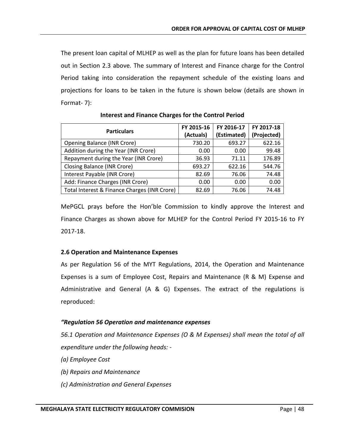The present loan capital of MLHEP as well as the plan for future loans has been detailed out in Section 2.3 above. The summary of Interest and Finance charge for the Control Period taking into consideration the repayment schedule of the existing loans and projections for loans to be taken in the future is shown below (details are shown in Format- 7):

| <b>Particulars</b>                           | FY 2015-16<br>(Actuals) | FY 2016-17<br>(Estimated) | FY 2017-18<br>(Projected) |
|----------------------------------------------|-------------------------|---------------------------|---------------------------|
| <b>Opening Balance (INR Crore)</b>           | 730.20                  | 693.27                    | 622.16                    |
| Addition during the Year (INR Crore)         | 0.00                    | 0.00                      | 99.48                     |
| Repayment during the Year (INR Crore)        | 36.93                   | 71.11                     | 176.89                    |
| <b>Closing Balance (INR Crore)</b>           | 693.27                  | 622.16                    | 544.76                    |
| Interest Payable (INR Crore)                 | 82.69                   | 76.06                     | 74.48                     |
| Add: Finance Charges (INR Crore)             | 0.00                    | 0.00                      | 0.00                      |
| Total Interest & Finance Charges (INR Crore) | 82.69                   | 76.06                     | 74.48                     |

# **Interest and Finance Charges for the Control Period**

MePGCL prays before the Hon'ble Commission to kindly approve the Interest and Finance Charges as shown above for MLHEP for the Control Period FY 2015-16 to FY 2017-18.

# **2.6 Operation and Maintenance Expenses**

As per Regulation 56 of the MYT Regulations, 2014, the Operation and Maintenance Expenses is a sum of Employee Cost, Repairs and Maintenance (R & M) Expense and Administrative and General (A & G) Expenses. The extract of the regulations is reproduced:

# *"Regulation 56 Operation and maintenance expenses*

*56.1 Operation and Maintenance Expenses (O & M Expenses) shall mean the total of all expenditure under the following heads: -*

- *(a) Employee Cost*
- *(b) Repairs and Maintenance*
- *(c) Administration and General Expenses*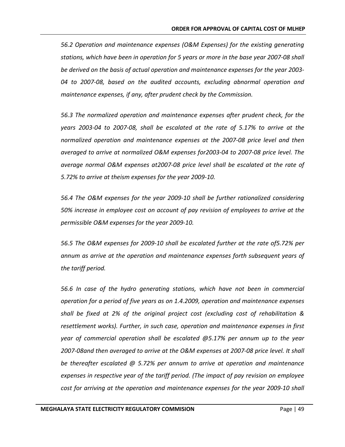*56.2 Operation and maintenance expenses (O&M Expenses) for the existing generating stations, which have been in operation for 5 years or more in the base year 2007-08 shall be derived on the basis of actual operation and maintenance expenses for the year 2003- 04 to 2007-08, based on the audited accounts, excluding abnormal operation and maintenance expenses, if any, after prudent check by the Commission.*

*56.3 The normalized operation and maintenance expenses after prudent check, for the years 2003-04 to 2007-08, shall be escalated at the rate of 5.17% to arrive at the normalized operation and maintenance expenses at the 2007-08 price level and then averaged to arrive at normalized O&M expenses for2003-04 to 2007-08 price level. The average normal O&M expenses at2007-08 price level shall be escalated at the rate of 5.72% to arrive at theism expenses for the year 2009-10.*

*56.4 The O&M expenses for the year 2009-10 shall be further rationalized considering 50% increase in employee cost on account of pay revision of employees to arrive at the permissible O&M expenses for the year 2009-10.*

*56.5 The O&M expenses for 2009-10 shall be escalated further at the rate of5.72% per annum as arrive at the operation and maintenance expenses forth subsequent years of the tariff period.*

*56.6 In case of the hydro generating stations, which have not been in commercial operation for a period of five years as on 1.4.2009, operation and maintenance expenses shall be fixed at 2% of the original project cost (excluding cost of rehabilitation & resettlement works). Further, in such case, operation and maintenance expenses in first year of commercial operation shall be escalated @5.17% per annum up to the year 2007-08and then averaged to arrive at the O&M expenses at 2007-08 price level. It shall be thereafter escalated @ 5.72% per annum to arrive at operation and maintenance expenses in respective year of the tariff period. (The impact of pay revision on employee cost for arriving at the operation and maintenance expenses for the year 2009-10 shall*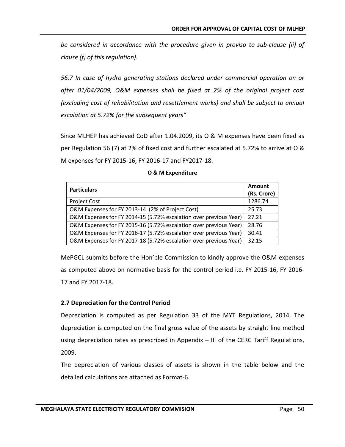*be considered in accordance with the procedure given in proviso to sub-clause (ii) of clause (f) of this regulation).*

*56.7 In case of hydro generating stations declared under commercial operation on or after 01/04/2009, O&M expenses shall be fixed at 2% of the original project cost (excluding cost of rehabilitation and resettlement works) and shall be subject to annual escalation at 5.72% for the subsequent years"*

Since MLHEP has achieved CoD after 1.04.2009, its O & M expenses have been fixed as per Regulation 56 (7) at 2% of fixed cost and further escalated at 5.72% to arrive at O & M expenses for FY 2015-16, FY 2016-17 and FY2017-18.

| <b>Particulars</b>                                                | Amount      |
|-------------------------------------------------------------------|-------------|
|                                                                   | (Rs. Crore) |
| Project Cost                                                      | 1286.74     |
| O&M Expenses for FY 2013-14 (2% of Project Cost)                  | 25.73       |
| O&M Expenses for FY 2014-15 (5.72% escalation over previous Year) | 27.21       |
| O&M Expenses for FY 2015-16 (5.72% escalation over previous Year) | 28.76       |
| O&M Expenses for FY 2016-17 (5.72% escalation over previous Year) | 30.41       |
| O&M Expenses for FY 2017-18 (5.72% escalation over previous Year) | 32.15       |

#### **O & M Expenditure**

MePGCL submits before the Hon'ble Commission to kindly approve the O&M expenses as computed above on normative basis for the control period i.e. FY 2015-16, FY 2016- 17 and FY 2017-18.

#### **2.7 Depreciation for the Control Period**

Depreciation is computed as per Regulation 33 of the MYT Regulations, 2014. The depreciation is computed on the final gross value of the assets by straight line method using depreciation rates as prescribed in Appendix – III of the CERC Tariff Regulations, 2009.

The depreciation of various classes of assets is shown in the table below and the detailed calculations are attached as Format-6.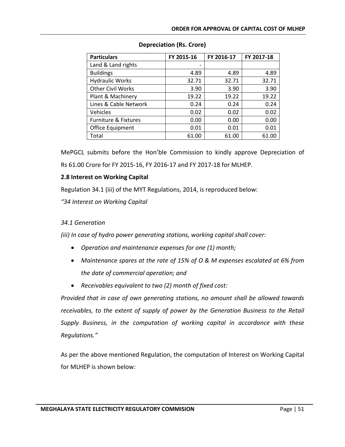| <b>Particulars</b>              | FY 2015-16 | FY 2016-17 | FY 2017-18 |
|---------------------------------|------------|------------|------------|
| Land & Land rights              |            |            |            |
| <b>Buildings</b>                | 4.89       | 4.89       | 4.89       |
| <b>Hydraulic Works</b>          | 32.71      | 32.71      | 32.71      |
| <b>Other Civil Works</b>        | 3.90       | 3.90       | 3.90       |
| Plant & Machinery               | 19.22      | 19.22      | 19.22      |
| Lines & Cable Network           | 0.24       | 0.24       | 0.24       |
| Vehicles                        | 0.02       | 0.02       | 0.02       |
| <b>Furniture &amp; Fixtures</b> | 0.00       | 0.00       | 0.00       |
| Office Equipment                | 0.01       | 0.01       | 0.01       |
| Total                           | 61.00      | 61.00      | 61.00      |

# **Depreciation (Rs. Crore)**

MePGCL submits before the Hon'ble Commission to kindly approve Depreciation of Rs 61.00 Crore for FY 2015-16, FY 2016-17 and FY 2017-18 for MLHEP.

# **2.8 Interest on Working Capital**

Regulation 34.1 (iii) of the MYT Regulations, 2014, is reproduced below:

*"34 Interest on Working Capital*

# *34.1 Generation*

*(iii) In case of hydro power generating stations, working capital shall cover:*

- *Operation and maintenance expenses for one (1) month;*
- *Maintenance spares at the rate of 15% of O & M expenses escalated at 6% from the date of commercial operation; and*
- *Receivables equivalent to two (2) month of fixed cost:*

*Provided that in case of own generating stations, no amount shall be allowed towards receivables, to the extent of supply of power by the Generation Business to the Retail Supply Business, in the computation of working capital in accordance with these Regulations."*

As per the above mentioned Regulation, the computation of Interest on Working Capital for MLHEP is shown below: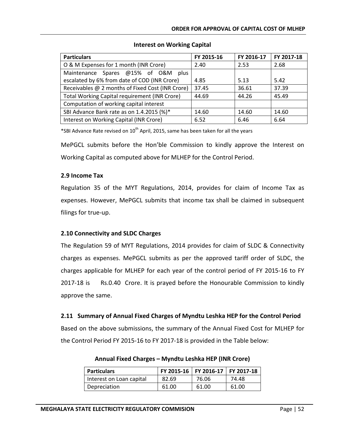| <b>Particulars</b>                                   | FY 2015-16 | FY 2016-17 | FY 2017-18 |
|------------------------------------------------------|------------|------------|------------|
| O & M Expenses for 1 month (INR Crore)               | 2.40       | 2.53       | 2.68       |
| Maintenance Spares @15% of O&M<br>plus               |            |            |            |
| escalated by 6% from date of COD (INR Crore)         | 4.85       | 5.13       | 5.42       |
| Receivables @ 2 months of Fixed Cost (INR Crore)     | 37.45      | 36.61      | 37.39      |
| <b>Total Working Capital requirement (INR Crore)</b> | 44.69      | 44.26      | 45.49      |
| Computation of working capital interest              |            |            |            |
| SBI Advance Bank rate as on 1.4.2015 (%)*            | 14.60      | 14.60      | 14.60      |
| Interest on Working Capital (INR Crore)              | 6.52       | 6.46       | 6.64       |

# **Interest on Working Capital**

\*SBI Advance Rate revised on  $10^{th}$  April, 2015, same has been taken for all the years

MePGCL submits before the Hon'ble Commission to kindly approve the Interest on Working Capital as computed above for MLHEP for the Control Period.

# **2.9 Income Tax**

Regulation 35 of the MYT Regulations, 2014, provides for claim of Income Tax as expenses. However, MePGCL submits that income tax shall be claimed in subsequent filings for true-up.

# **2.10 Connectivity and SLDC Charges**

The Regulation 59 of MYT Regulations, 2014 provides for claim of SLDC & Connectivity charges as expenses. MePGCL submits as per the approved tariff order of SLDC, the charges applicable for MLHEP for each year of the control period of FY 2015-16 to FY 2017-18 is Rs.0.40 Crore. It is prayed before the Honourable Commission to kindly approve the same.

# **2.11 Summary of Annual Fixed Charges of Myndtu Leshka HEP for the Control Period**

Based on the above submissions, the summary of the Annual Fixed Cost for MLHEP for the Control Period FY 2015-16 to FY 2017-18 is provided in the Table below:

| <b>Particulars</b>       |       | FY 2015-16   FY 2016-17   FY 2017-18 |       |
|--------------------------|-------|--------------------------------------|-------|
| Interest on Loan capital | 82.69 | 76.06                                | 74.48 |
| Depreciation             | 61.00 | 61.00                                | 61.00 |

**Annual Fixed Charges – Myndtu Leshka HEP (INR Crore)**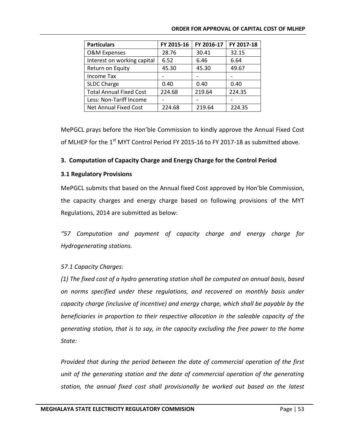| <b>Particulars</b>             | FY 2015-16 | FY 2016-17 | FY 2017-18 |
|--------------------------------|------------|------------|------------|
| <b>O&amp;M Expenses</b>        | 28.76      | 30.41      | 32.15      |
| Interest on working capital    | 6.52       | 6.46       | 6.64       |
| Return on Equity               | 45.30      | 45.30      | 49.67      |
| <b>Income Tax</b>              |            |            |            |
| SLDC Charge                    | 0.40       | 0.40       | 0.40       |
| <b>Total Annual Fixed Cost</b> | 224.68     | 219.64     | 224.35     |
| Less: Non-Tariff Income        |            |            |            |
| Net Annual Fixed Cost          | 224.68     | 219.64     | 224.35     |

MePGCL prays before the Hon'ble Commission to kindly approve the Annual Fixed Cost of MLHEP for the  $1<sup>st</sup>$  MYT Control Period FY 2015-16 to FY 2017-18 as submitted above.

# **3. Computation of Capacity Charge and Energy Charge for the Control Period**

#### **3.1 Regulatory Provisions**

MePGCL submits that based on the Annual fixed Cost approved by Hon'ble Commission, the capacity charges and energy charge based on following provisions of the MYT Regulations, 2014 are submitted as below:

*"57 Computation and payment of capacity charge and energy charge for Hydrogenerating stations.*

# *57.1 Capacity Charges:*

*(1) The fixed cost of a hydro generating station shall be computed on annual basis, based on norms specified under these regulations, and recovered on monthly basis under capacity charge (inclusive of incentive) and energy charge, which shall be payable by the beneficiaries in proportion to their respective allocation in the saleable capacity of the generating station, that is to say, in the capacity excluding the free power to the home State:*

*Provided that during the period between the date of commercial operation of the first unit of the generating station and the date of commercial operation of the generating station, the annual fixed cost shall provisionally be worked out based on the latest*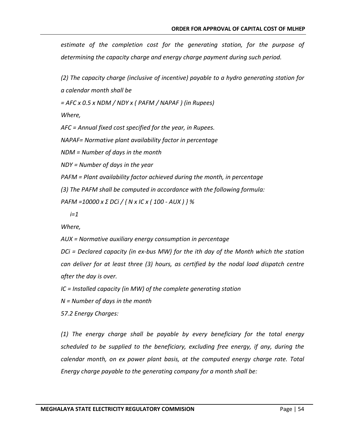*estimate of the completion cost for the generating station, for the purpose of determining the capacity charge and energy charge payment during such period.*

*(2) The capacity charge (inclusive of incentive) payable to a hydro generating station for a calendar month shall be*

*= AFC x 0.5 x NDM / NDY x ( PAFM / NAPAF ) (in Rupees)*

*Where,*

*AFC = Annual fixed cost specified for the year, in Rupees.*

*NAPAF= Normative plant availability factor in percentage*

*NDM = Number of days in the month*

*NDY = Number of days in the year*

*PAFM = Plant availability factor achieved during the month, in percentage*

*(3) The PAFM shall be computed in accordance with the following formula:*

*PAFM =10000 x Σ DCi / { N x IC x ( 100 - AUX ) } %*

 *i=1*

*Where,*

*AUX = Normative auxiliary energy consumption in percentage*

*DCi = Declared capacity (in ex-bus MW) for the ith day of the Month which the station can deliver for at least three (3) hours, as certified by the nodal load dispatch centre after the day is over.*

*IC = Installed capacity (in MW) of the complete generating station*

*N = Number of days in the month*

*57.2 Energy Charges:*

*(1) The energy charge shall be payable by every beneficiary for the total energy scheduled to be supplied to the beneficiary, excluding free energy, if any, during the calendar month, on ex power plant basis, at the computed energy charge rate. Total Energy charge payable to the generating company for a month shall be:*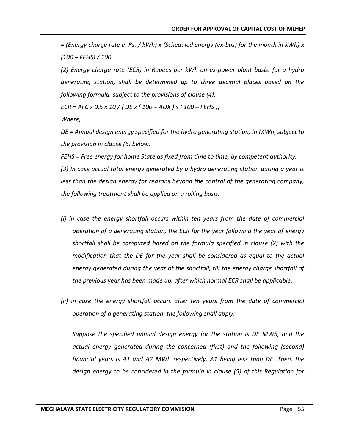*= (Energy charge rate in Rs. / kWh) x {Scheduled energy (ex-bus) for the month in kWh} x (100 – FEHS) / 100.*

*(2) Energy charge rate (ECR) in Rupees per kWh on ex-power plant basis, for a hydro generating station, shall be determined up to three decimal places based on the following formula, subject to the provisions of clause (4):*

*ECR = AFC x 0.5 x 10 / { DE x ( 100 – AUX ) x ( 100 – FEHS )}*

*Where,*

*DE = Annual design energy specified for the hydro generating station, In MWh, subject to the provision in clause (6) below.*

*FEHS = Free energy for home State as fixed from time to time, by competent authority. (3) In case actual total energy generated by a hydro generating station during a year is less than the design energy for reasons beyond the control of the generating company, the following treatment shall be applied on a rolling basis:*

- *(i) in case the energy shortfall occurs within ten years from the date of commercial operation of a generating station, the ECR for the year following the year of energy shortfall shall be computed based on the formula specified in clause (2) with the modification that the DE for the year shall be considered as equal to the actual energy generated during the year of the shortfall, till the energy charge shortfall of the previous year has been made up, after which normal ECR shall be applicable;*
- *(ii) in case the energy shortfall occurs after ten years from the date of commercial operation of a generating station, the following shall apply:*

*Suppose the specified annual design energy for the station is DE MWh, and the actual energy generated during the concerned (first) and the following (second) financial years is A1 and A2 MWh respectively, A1 being less than DE. Then, the design energy to be considered in the formula in clause (5) of this Regulation for*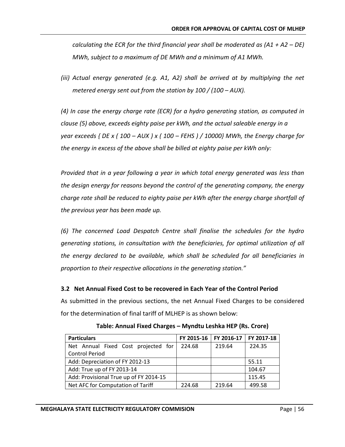*calculating the ECR for the third financial year shall be moderated as (A1 + A2 – DE) MWh, subject to a maximum of DE MWh and a minimum of A1 MWh.*

*(iii)* Actual energy generated (e.g. A1, A2) shall be arrived at by multiplying the net *metered energy sent out from the station by 100 / (100 – AUX).* 

*(4) In case the energy charge rate (ECR) for a hydro generating station, as computed in clause (5) above, exceeds eighty paise per kWh, and the actual saleable energy in a year exceeds { DE x ( 100 – AUX ) x ( 100 – FEHS ) / 10000} MWh, the Energy charge for the energy in excess of the above shall be billed at eighty paise per kWh only:*

*Provided that in a year following a year in which total energy generated was less than the design energy for reasons beyond the control of the generating company, the energy charge rate shall be reduced to eighty paise per kWh after the energy charge shortfall of the previous year has been made up.*

*(6) The concerned Load Despatch Centre shall finalise the schedules for the hydro generating stations, in consultation with the beneficiaries, for optimal utilization of all the energy declared to be available, which shall be scheduled for all beneficiaries in proportion to their respective allocations in the generating station."*

# **3.2 Net Annual Fixed Cost to be recovered in Each Year of the Control Period**

As submitted in the previous sections, the net Annual Fixed Charges to be considered for the determination of final tariff of MLHEP is as shown below:

| <b>Particulars</b>                     | FY 2015-16 | FY 2016-17 | FY 2017-18 |
|----------------------------------------|------------|------------|------------|
| Net Annual Fixed Cost projected for    | 224.68     | 219.64     | 224.35     |
| <b>Control Period</b>                  |            |            |            |
| Add: Depreciation of FY 2012-13        |            |            | 55.11      |
| Add: True up of FY 2013-14             |            |            | 104.67     |
| Add: Provisional True up of FY 2014-15 |            |            | 115.45     |
| Net AFC for Computation of Tariff      | 224.68     | 219.64     | 499.58     |

# **Table: Annual Fixed Charges – Myndtu Leshka HEP (Rs. Crore)**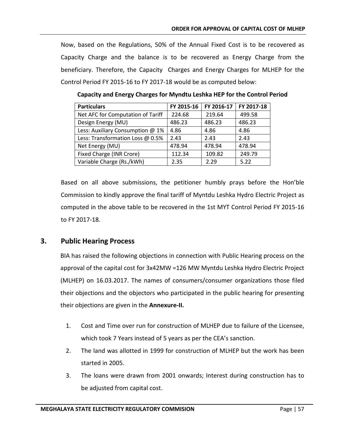Now, based on the Regulations, 50% of the Annual Fixed Cost is to be recovered as Capacity Charge and the balance is to be recovered as Energy Charge from the beneficiary. Therefore, the Capacity Charges and Energy Charges for MLHEP for the Control Period FY 2015-16 to FY 2017-18 would be as computed below:

| <b>Particulars</b>                | FY 2015-16 | FY 2016-17 | FY 2017-18 |
|-----------------------------------|------------|------------|------------|
| Net AFC for Computation of Tariff | 224.68     | 219.64     | 499.58     |
| Design Energy (MU)                | 486.23     | 486.23     | 486.23     |
| Less: Auxiliary Consumption @ 1%  | 4.86       | 4.86       | 4.86       |
| Less: Transformation Loss @ 0.5%  | 2.43       | 2.43       | 2.43       |
| Net Energy (MU)                   | 478.94     | 478.94     | 478.94     |
| Fixed Charge (INR Crore)          | 112.34     | 109.82     | 249.79     |
| Variable Charge (Rs./kWh)         | 2.35       | 2.29       | 5.22       |

**Capacity and Energy Charges for Myndtu Leshka HEP for the Control Period**

Based on all above submissions, the petitioner humbly prays before the Hon'ble Commission to kindly approve the final tariff of Myntdu Leshka Hydro Electric Project as computed in the above table to be recovered in the 1st MYT Control Period FY 2015-16 to FY 2017-18.

# **3. Public Hearing Process**

BIA has raised the following objections in connection with Public Hearing process on the approval of the capital cost for 3x42MW =126 MW Myntdu Leshka Hydro Electric Project (MLHEP) on 16.03.2017. The names of consumers/consumer organizations those filed their objections and the objectors who participated in the public hearing for presenting their objections are given in the **Annexure-II.**

- 1. Cost and Time over run for construction of MLHEP due to failure of the Licensee, which took 7 Years instead of 5 years as per the CEA's sanction.
- 2. The land was allotted in 1999 for construction of MLHEP but the work has been started in 2005.
- 3. The loans were drawn from 2001 onwards; Interest during construction has to be adjusted from capital cost.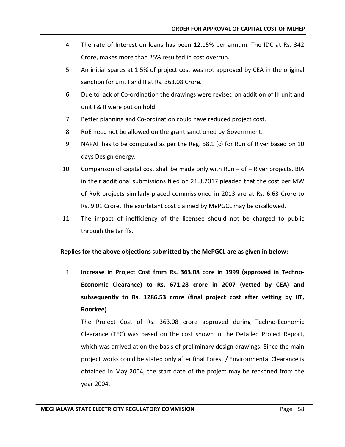- 4. The rate of Interest on loans has been 12.15% per annum. The IDC at Rs. 342 Crore, makes more than 25% resulted in cost overrun.
- 5. An initial spares at 1.5% of project cost was not approved by CEA in the original sanction for unit I and II at Rs. 363.08 Crore.
- 6. Due to lack of Co-ordination the drawings were revised on addition of III unit and unit I & II were put on hold.
- 7. Better planning and Co-ordination could have reduced project cost.
- 8. RoE need not be allowed on the grant sanctioned by Government.
- 9. NAPAF has to be computed as per the Reg. 58.1 (c) for Run of River based on 10 days Design energy.
- 10. Comparison of capital cost shall be made only with Run of River projects. BIA in their additional submissions filed on 21.3.2017 pleaded that the cost per MW of RoR projects similarly placed commissioned in 2013 are at Rs. 6.63 Crore to Rs. 9.01 Crore. The exorbitant cost claimed by MePGCL may be disallowed.
- 11. The impact of inefficiency of the licensee should not be charged to public through the tariffs.

#### **Replies for the above objections submitted by the MePGCL are as given in below:**

1. **Increase in Project Cost from Rs. 363.08 core in 1999 (approved in Techno-Economic Clearance) to Rs. 671.28 crore in 2007 (vetted by CEA) and subsequently to Rs. 1286.53 crore (final project cost after vetting by IIT, Roorkee)**

The Project Cost of Rs. 363.08 crore approved during Techno-Economic Clearance (TEC) was based on the cost shown in the Detailed Project Report, which was arrived at on the basis of preliminary design drawings**.** Since the main project works could be stated only after final Forest / Environmental Clearance is obtained in May 2004, the start date of the project may be reckoned from the year 2004.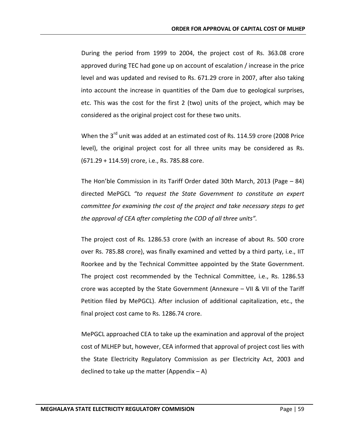During the period from 1999 to 2004, the project cost of Rs. 363.08 crore approved during TEC had gone up on account of escalation / increase in the price level and was updated and revised to Rs. 671.29 crore in 2007, after also taking into account the increase in quantities of the Dam due to geological surprises, etc. This was the cost for the first 2 (two) units of the project, which may be considered as the original project cost for these two units.

When the  $3^{rd}$  unit was added at an estimated cost of Rs. 114.59 crore (2008 Price level), the original project cost for all three units may be considered as Rs. (671.29 + 114.59) crore, i.e., Rs. 785.88 core.

The Hon'ble Commission in its Tariff Order dated 30th March, 2013 (Page – 84) directed MePGCL *"to request the State Government to constitute an expert committee for examining the cost of the project and take necessary steps to get the approval of CEA after completing the COD of all three units".*

The project cost of Rs. 1286.53 crore (with an increase of about Rs. 500 crore over Rs. 785.88 crore), was finally examined and vetted by a third party, i.e., IIT Roorkee and by the Technical Committee appointed by the State Government. The project cost recommended by the Technical Committee, i.e., Rs. 1286.53 crore was accepted by the State Government (Annexure – VII & VII of the Tariff Petition filed by MePGCL). After inclusion of additional capitalization, etc., the final project cost came to Rs. 1286.74 crore.

MePGCL approached CEA to take up the examination and approval of the project cost of MLHEP but, however, CEA informed that approval of project cost lies with the State Electricity Regulatory Commission as per Electricity Act, 2003 and declined to take up the matter (Appendix  $-$  A)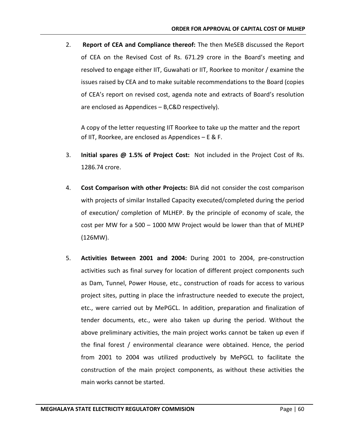2. **Report of CEA and Compliance thereof:** The then MeSEB discussed the Report of CEA on the Revised Cost of Rs. 671.29 crore in the Board's meeting and resolved to engage either IIT, Guwahati or IIT, Roorkee to monitor / examine the issues raised by CEA and to make suitable recommendations to the Board (copies of CEA's report on revised cost, agenda note and extracts of Board's resolution are enclosed as Appendices – B,C&D respectively).

A copy of the letter requesting IIT Roorkee to take up the matter and the report of IIT, Roorkee, are enclosed as Appendices – E & F.

- 3. **Initial spares @ 1.5% of Project Cost:** Not included in the Project Cost of Rs. 1286.74 crore.
- 4. **Cost Comparison with other Projects:** BIA did not consider the cost comparison with projects of similar Installed Capacity executed/completed during the period of execution/ completion of MLHEP. By the principle of economy of scale, the cost per MW for a 500 – 1000 MW Project would be lower than that of MLHEP (126MW).
- 5. **Activities Between 2001 and 2004:** During 2001 to 2004, pre-construction activities such as final survey for location of different project components such as Dam, Tunnel, Power House, etc., construction of roads for access to various project sites, putting in place the infrastructure needed to execute the project, etc., were carried out by MePGCL. In addition, preparation and finalization of tender documents, etc., were also taken up during the period. Without the above preliminary activities, the main project works cannot be taken up even if the final forest / environmental clearance were obtained. Hence, the period from 2001 to 2004 was utilized productively by MePGCL to facilitate the construction of the main project components, as without these activities the main works cannot be started.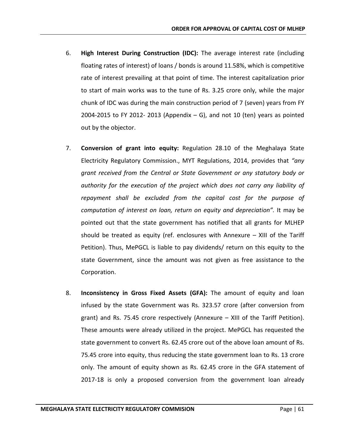- 6. **High Interest During Construction (IDC):** The average interest rate (including floating rates of interest) of loans / bonds is around 11.58%, which is competitive rate of interest prevailing at that point of time. The interest capitalization prior to start of main works was to the tune of Rs. 3.25 crore only, while the major chunk of IDC was during the main construction period of 7 (seven) years from FY 2004-2015 to FY 2012-2013 (Appendix  $-$  G), and not 10 (ten) years as pointed out by the objector.
- 7. **Conversion of grant into equity:** Regulation 28.10 of the Meghalaya State Electricity Regulatory Commission., MYT Regulations, 2014, provides that *"any grant received from the Central or State Government or any statutory body or authority for the execution of the project which does not carry any liability of repayment shall be excluded from the capital cost for the purpose of computation of interest on loan, return on equity and depreciation".* It may be pointed out that the state government has notified that all grants for MLHEP should be treated as equity (ref. enclosures with Annexure – XIII of the Tariff Petition). Thus, MePGCL is liable to pay dividends/ return on this equity to the state Government, since the amount was not given as free assistance to the Corporation.
- 8. **Inconsistency in Gross Fixed Assets (GFA):** The amount of equity and loan infused by the state Government was Rs. 323.57 crore (after conversion from grant) and Rs. 75.45 crore respectively (Annexure – XIII of the Tariff Petition). These amounts were already utilized in the project. MePGCL has requested the state government to convert Rs. 62.45 crore out of the above loan amount of Rs. 75.45 crore into equity, thus reducing the state government loan to Rs. 13 crore only. The amount of equity shown as Rs. 62.45 crore in the GFA statement of 2017-18 is only a proposed conversion from the government loan already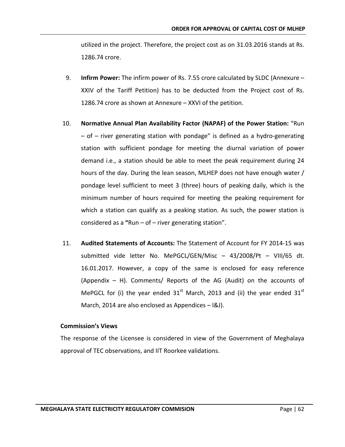utilized in the project. Therefore, the project cost as on 31.03.2016 stands at Rs. 1286.74 crore.

- 9. **Infirm Power:** The infirm power of Rs. 7.55 crore calculated by SLDC (Annexure XXIV of the Tariff Petition) has to be deducted from the Project cost of Rs. 1286.74 crore as shown at Annexure – XXVI of the petition.
- 10. **Normative Annual Plan Availability Factor (NAPAF) of the Power Station:** "Run – of – river generating station with pondage" is defined as a hydro-generating station with sufficient pondage for meeting the diurnal variation of power demand i.e., a station should be able to meet the peak requirement during 24 hours of the day. During the lean season, MLHEP does not have enough water / pondage level sufficient to meet 3 (three) hours of peaking daily, which is the minimum number of hours required for meeting the peaking requirement for which a station can qualify as a peaking station. As such, the power station is considered as a **"**Run – of – river generating station".
- 11. **Audited Statements of Accounts:** The Statement of Account for FY 2014-15 was submitted vide letter No. MePGCL/GEN/Misc – 43/2008/Pt – VIII/65 dt. 16.01.2017. However, a copy of the same is enclosed for easy reference (Appendix – H). Comments/ Reports of the AG (Audit) on the accounts of MePGCL for (i) the year ended  $31<sup>st</sup>$  March, 2013 and (ii) the year ended  $31<sup>st</sup>$ March, 2014 are also enclosed as Appendices – I&J).

#### **Commission's Views**

The response of the Licensee is considered in view of the Government of Meghalaya approval of TEC observations, and IIT Roorkee validations.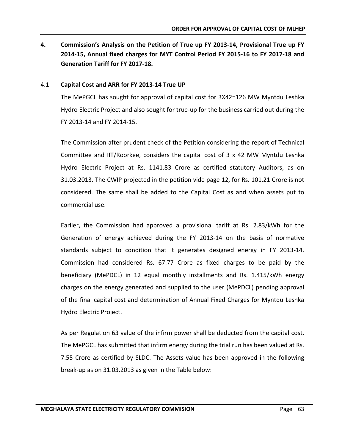**4. Commission's Analysis on the Petition of True up FY 2013-14, Provisional True up FY 2014-15, Annual fixed charges for MYT Control Period FY 2015-16 to FY 2017-18 and Generation Tariff for FY 2017-18.**

#### 4.1 **Capital Cost and ARR for FY 2013-14 True UP**

The MePGCL has sought for approval of capital cost for 3X42=126 MW Myntdu Leshka Hydro Electric Project and also sought for true-up for the business carried out during the FY 2013-14 and FY 2014-15.

The Commission after prudent check of the Petition considering the report of Technical Committee and IIT/Roorkee, considers the capital cost of 3 x 42 MW Myntdu Leshka Hydro Electric Project at Rs. 1141.83 Crore as certified statutory Auditors, as on 31.03.2013. The CWIP projected in the petition vide page 12, for Rs. 101.21 Crore is not considered. The same shall be added to the Capital Cost as and when assets put to commercial use.

Earlier, the Commission had approved a provisional tariff at Rs. 2.83/kWh for the Generation of energy achieved during the FY 2013-14 on the basis of normative standards subject to condition that it generates designed energy in FY 2013-14. Commission had considered Rs. 67.77 Crore as fixed charges to be paid by the beneficiary (MePDCL) in 12 equal monthly installments and Rs. 1.415/kWh energy charges on the energy generated and supplied to the user (MePDCL) pending approval of the final capital cost and determination of Annual Fixed Charges for Myntdu Leshka Hydro Electric Project.

As per Regulation 63 value of the infirm power shall be deducted from the capital cost. The MePGCL has submitted that infirm energy during the trial run has been valued at Rs. 7.55 Crore as certified by SLDC. The Assets value has been approved in the following break-up as on 31.03.2013 as given in the Table below: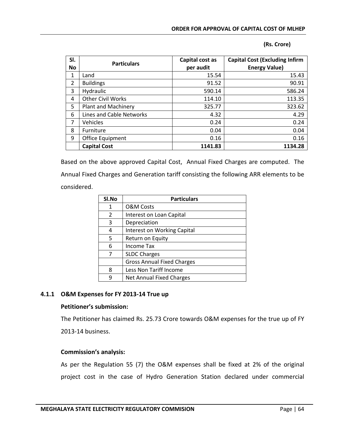|  | (Rs. Crore) |
|--|-------------|
|--|-------------|

| SI.            | <b>Particulars</b>         | Capital cost as | <b>Capital Cost (Excluding Infirm</b> |
|----------------|----------------------------|-----------------|---------------------------------------|
| <b>No</b>      |                            | per audit       | <b>Energy Value)</b>                  |
| 1              | Land                       | 15.54           | 15.43                                 |
| $\overline{2}$ | <b>Buildings</b>           | 91.52           | 90.91                                 |
| 3              | Hydraulic                  | 590.14          | 586.24                                |
| 4              | <b>Other Civil Works</b>   | 114.10          | 113.35                                |
| 5              | <b>Plant and Machinery</b> | 325.77          | 323.62                                |
| 6              | Lines and Cable Networks   | 4.32            | 4.29                                  |
| 7              | Vehicles                   | 0.24            | 0.24                                  |
| 8              | Furniture                  | 0.04            | 0.04                                  |
| 9              | Office Equipment           | 0.16            | 0.16                                  |
|                | <b>Capital Cost</b>        | 1141.83         | 1134.28                               |

Based on the above approved Capital Cost, Annual Fixed Charges are computed. The Annual Fixed Charges and Generation tariff consisting the following ARR elements to be considered.

| SI.No | <b>Particulars</b>                 |  |  |
|-------|------------------------------------|--|--|
| 1     | <b>O&amp;M Costs</b>               |  |  |
| 2     | Interest on Loan Capital           |  |  |
| 3     | Depreciation                       |  |  |
| 4     | <b>Interest on Working Capital</b> |  |  |
| 5     | Return on Equity                   |  |  |
| 6     | <b>Income Tax</b>                  |  |  |
| 7     | <b>SLDC Charges</b>                |  |  |
|       | <b>Gross Annual Fixed Charges</b>  |  |  |
| 8     | Less Non Tariff Income             |  |  |
| q     | <b>Net Annual Fixed Charges</b>    |  |  |

#### **4.1.1 O&M Expenses for FY 2013-14 True up**

#### **Petitioner's submission:**

The Petitioner has claimed Rs. 25.73 Crore towards O&M expenses for the true up of FY 2013-14 business.

#### **Commission's analysis:**

As per the Regulation 55 (7) the O&M expenses shall be fixed at 2% of the original project cost in the case of Hydro Generation Station declared under commercial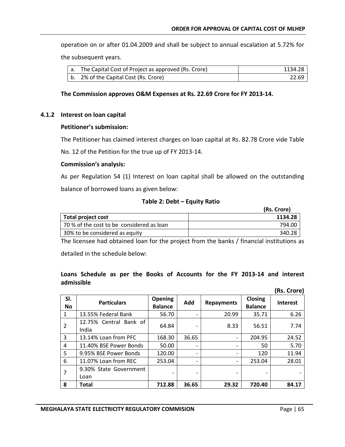operation on or after 01.04.2009 and shall be subject to annual escalation at 5.72% for the subsequent years.

| a. The Capital Cost of Project as approved (Rs. Crore) | 1134.28 |
|--------------------------------------------------------|---------|
| b. 2% of the Capital Cost (Rs. Crore)                  | 22.69   |

#### **The Commission approves O&M Expenses at Rs. 22.69 Crore for FY 2013-14.**

#### **4.1.2 Interest on loan capital**

#### **Petitioner's submission:**

The Petitioner has claimed interest charges on loan capital at Rs. 82.78 Crore vide Table

No. 12 of the Petition for the true up of FY 2013-14.

#### **Commission's analysis:**

As per Regulation 54 (1) Interest on loan capital shall be allowed on the outstanding balance of borrowed loans as given below:

#### **Table 2: Debt – Equity Ratio**

|                                           | (Rs. Crore) |
|-------------------------------------------|-------------|
| Total project cost                        | 1134.28     |
| 70 % of the cost to be considered as loan | 794.00      |
| 30% to be considered as equity            | 340.28      |

The licensee had obtained loan for the project from the banks / financial institutions as

detailed in the schedule below:

#### **Loans Schedule as per the Books of Accounts for the FY 2013-14 and interest admissible**

|                  |                                 |                                  |       |                   |                           | (Rs. Crore)     |
|------------------|---------------------------------|----------------------------------|-------|-------------------|---------------------------|-----------------|
| SI.<br><b>No</b> | <b>Particulars</b>              | <b>Opening</b><br><b>Balance</b> | Add   | <b>Repayments</b> | Closing<br><b>Balance</b> | <b>Interest</b> |
| 1                | 13.55% Federal Bank             | 56.70                            |       | 20.99             | 35.71                     | 6.26            |
| $\overline{2}$   | 12.75% Central Bank of<br>India | 64.84                            |       | 8.33              | 56.51                     | 7.74            |
| 3                | 13.14% Loan from PFC            | 168.30                           | 36.65 | -                 | 204.95                    | 24.52           |
| 4                | 11.40% BSE Power Bonds          | 50.00                            |       |                   | 50                        | 5.70            |
| 5                | 9.95% BSE Power Bonds           | 120.00                           |       |                   | 120                       | 11.94           |
| 6                | 11.07% Loan from REC            | 253.04                           |       |                   | 253.04                    | 28.01           |
| 7                | 9.30% State Government<br>Loan  | -                                |       |                   |                           |                 |
| 8                | Total                           | 712.88                           | 36.65 | 29.32             | 720.40                    | 84.17           |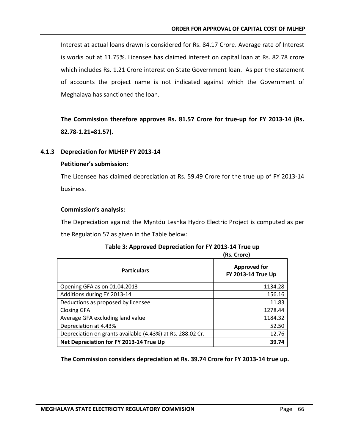Interest at actual loans drawn is considered for Rs. 84.17 Crore. Average rate of Interest is works out at 11.75%. Licensee has claimed interest on capital loan at Rs. 82.78 crore which includes Rs. 1.21 Crore interest on State Government loan. As per the statement of accounts the project name is not indicated against which the Government of Meghalaya has sanctioned the loan.

**The Commission therefore approves Rs. 81.57 Crore for true-up for FY 2013-14 (Rs. 82.78-1.21=81.57).**

# **4.1.3 Depreciation for MLHEP FY 2013-14**

# **Petitioner's submission:**

The Licensee has claimed depreciation at Rs. 59.49 Crore for the true up of FY 2013-14 business.

# **Commission's analysis:**

The Depreciation against the Myntdu Leshka Hydro Electric Project is computed as per the Regulation 57 as given in the Table below:

|                                                            | (Rs. Crore)                               |
|------------------------------------------------------------|-------------------------------------------|
| <b>Particulars</b>                                         | <b>Approved for</b><br>FY 2013-14 True Up |
| Opening GFA as on 01.04.2013                               | 1134.28                                   |
| Additions during FY 2013-14                                | 156.16                                    |
| Deductions as proposed by licensee                         | 11.83                                     |
| <b>Closing GFA</b>                                         | 1278.44                                   |
| Average GFA excluding land value                           | 1184.32                                   |
| Depreciation at 4.43%                                      | 52.50                                     |
| Depreciation on grants available (4.43%) at Rs. 288.02 Cr. | 12.76                                     |
| Net Depreciation for FY 2013-14 True Up                    | 39.74                                     |

# **Table 3: Approved Depreciation for FY 2013-14 True up**

**The Commission considers depreciation at Rs. 39.74 Crore for FY 2013-14 true up.**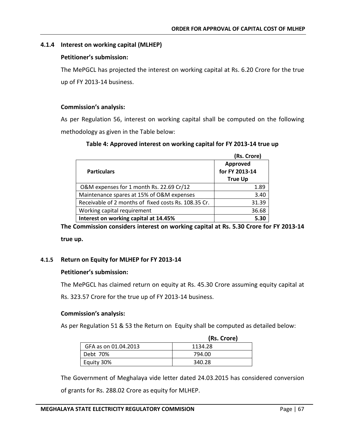# **4.1.4 Interest on working capital (MLHEP)**

#### **Petitioner's submission:**

The MePGCL has projected the interest on working capital at Rs. 6.20 Crore for the true up of FY 2013-14 business.

#### **Commission's analysis:**

As per Regulation 56, interest on working capital shall be computed on the following methodology as given in the Table below:

| Table 4: Approved interest on working capital for FY 2013-14 true up |  |  |  |  |  |
|----------------------------------------------------------------------|--|--|--|--|--|
|----------------------------------------------------------------------|--|--|--|--|--|

|                                                      | (Rs. Crore)                                  |
|------------------------------------------------------|----------------------------------------------|
| <b>Particulars</b>                                   | Approved<br>for FY 2013-14<br><b>True Up</b> |
| O&M expenses for 1 month Rs. 22.69 Cr/12             | 1.89                                         |
| Maintenance spares at 15% of O&M expenses            | 3.40                                         |
| Receivable of 2 months of fixed costs Rs. 108.35 Cr. | 31.39                                        |
| Working capital requirement                          | 36.68                                        |
| Interest on working capital at 14.45%                | 5.30                                         |

**The Commission considers interest on working capital at Rs. 5.30 Crore for FY 2013-14 true up.**

#### **4.1.5 Return on Equity for MLHEP for FY 2013-14**

#### **Petitioner's submission:**

The MePGCL has claimed return on equity at Rs. 45.30 Crore assuming equity capital at

Rs. 323.57 Crore for the true up of FY 2013-14 business.

#### **Commission's analysis:**

As per Regulation 51 & 53 the Return on Equity shall be computed as detailed below:

|                      | (Rs. Crore) |
|----------------------|-------------|
| GFA as on 01.04.2013 | 1134.28     |
| Debt 70%             | 794.00      |
| Equity 30%           | 340.28      |

The Government of Meghalaya vide letter dated 24.03.2015 has considered conversion

of grants for Rs. 288.02 Crore as equity for MLHEP.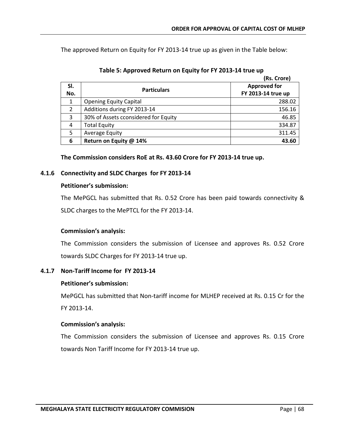The approved Return on Equity for FY 2013-14 true up as given in the Table below:

|               |                                      | (Rs. Crore)         |
|---------------|--------------------------------------|---------------------|
| SI.           | <b>Particulars</b>                   | <b>Approved for</b> |
| No.           |                                      | FY 2013-14 true up  |
| 1             | <b>Opening Equity Capital</b>        | 288.02              |
| $\mathcal{P}$ | Additions during FY 2013-14          | 156.16              |
| 3             | 30% of Assets cconsidered for Equity | 46.85               |
| 4             | <b>Total Equity</b>                  | 334.87              |
| 5             | <b>Average Equity</b>                | 311.45              |
| 6             | Return on Equity @ 14%               | 43.60               |

| Table 5: Approved Return on Equity for FY 2013-14 true up |  |  |
|-----------------------------------------------------------|--|--|
|                                                           |  |  |

**The Commission considers RoE at Rs. 43.60 Crore for FY 2013-14 true up.**

# **4.1.6 Connectivity and SLDC Charges for FY 2013-14**

#### **Petitioner's submission:**

The MePGCL has submitted that Rs. 0.52 Crore has been paid towards connectivity & SLDC charges to the MePTCL for the FY 2013-14.

# **Commission's analysis:**

The Commission considers the submission of Licensee and approves Rs. 0.52 Crore towards SLDC Charges for FY 2013-14 true up.

# **4.1.7 Non-Tariff Income for FY 2013-14**

#### **Petitioner's submission:**

MePGCL has submitted that Non-tariff income for MLHEP received at Rs. 0.15 Cr for the FY 2013-14.

# **Commission's analysis:**

The Commission considers the submission of Licensee and approves Rs. 0.15 Crore towards Non Tariff Income for FY 2013-14 true up.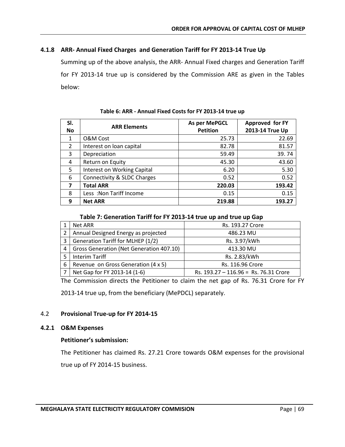# **4.1.8 ARR- Annual Fixed Charges and Generation Tariff for FY 2013-14 True Up**

Summing up of the above analysis, the ARR- Annual Fixed charges and Generation Tariff for FY 2013-14 true up is considered by the Commission ARE as given in the Tables below:

| SI.                     | <b>ARR Elements</b>                    | As per MePGCL   | Approved for FY |
|-------------------------|----------------------------------------|-----------------|-----------------|
| <b>No</b>               |                                        | <b>Petition</b> | 2013-14 True Up |
| 1                       | <b>O&amp;M Cost</b>                    | 25.73           | 22.69           |
| $\overline{2}$          | Interest on loan capital               | 82.78           | 81.57           |
| 3                       | Depreciation                           | 59.49           | 39.74           |
| 4                       | Return on Equity                       | 45.30           | 43.60           |
| 5                       | Interest on Working Capital            | 6.20            | 5.30            |
| 6                       | <b>Connectivity &amp; SLDC Charges</b> | 0.52            | 0.52            |
| $\overline{\mathbf{z}}$ | <b>Total ARR</b>                       | 220.03          | 193.42          |
| 8                       | Less : Non Tariff Income               | 0.15            | 0.15            |
| 9                       | <b>Net ARR</b>                         | 219.88          | 193.27          |

**Table 6: ARR - Annual Fixed Costs for FY 2013-14 true up**

#### **Table 7: Generation Tariff for FY 2013-14 true up and true up Gap**

|   | Net ARR                                  | Rs. 193.27 Crore                      |
|---|------------------------------------------|---------------------------------------|
|   | Annual Designed Energy as projected      | 486.23 MU                             |
| 3 | <b>Generation Tariff for MLHEP (1/2)</b> | Rs. 3.97/kWh                          |
| 4 | Gross Generation (Net Generation 407.10) | 413.30 MU                             |
|   | <b>Interim Tariff</b>                    | Rs. 2.83/kWh                          |
| 6 | Revenue on Gross Generation (4 x 5)      | Rs. 116.96 Crore                      |
|   | Net Gap for FY 2013-14 (1-6)             | Rs. 193.27 - 116.96 = Rs. 76.31 Crore |

The Commission directs the Petitioner to claim the net gap of Rs. 76.31 Crore for FY

2013-14 true up, from the beneficiary (MePDCL) separately.

# 4.2 **Provisional True-up for FY 2014-15**

#### **4.2.1 O&M Expenses**

#### **Petitioner's submission:**

The Petitioner has claimed Rs. 27.21 Crore towards O&M expenses for the provisional true up of FY 2014-15 business.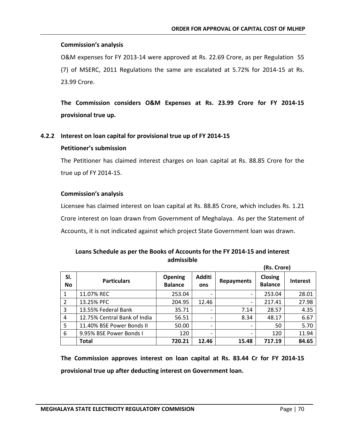#### **Commission's analysis**

O&M expenses for FY 2013-14 were approved at Rs. 22.69 Crore, as per Regulation 55 (7) of MSERC, 2011 Regulations the same are escalated at 5.72% for 2014-15 at Rs. 23.99 Crore.

**The Commission considers O&M Expenses at Rs. 23.99 Crore for FY 2014-15 provisional true up.** 

#### **4.2.2 Interest on loan capital for provisional true up of FY 2014-15**

#### **Petitioner's submission**

The Petitioner has claimed interest charges on loan capital at Rs. 88.85 Crore for the true up of FY 2014-15.

#### **Commission's analysis**

Licensee has claimed interest on loan capital at Rs. 88.85 Crore, which includes Rs. 1.21 Crore interest on loan drawn from Government of Meghalaya. As per the Statement of Accounts, it is not indicated against which project State Government loan was drawn.

# **Loans Schedule as per the Books of Accounts for the FY 2014-15 and interest admissible**

|                  |                              |                           |                          | (Rs. Crore)              |                                  |                 |
|------------------|------------------------------|---------------------------|--------------------------|--------------------------|----------------------------------|-----------------|
| SI.<br><b>No</b> | <b>Particulars</b>           | Opening<br><b>Balance</b> | Additi<br>ons            | <b>Repayments</b>        | <b>Closing</b><br><b>Balance</b> | <b>Interest</b> |
| 1                | 11.07% REC                   | 253.04                    |                          | ۰                        | 253.04                           | 28.01           |
| 2                | 13.25% PFC                   | 204.95                    | 12.46                    | $\overline{\phantom{0}}$ | 217.41                           | 27.98           |
| 3                | 13.55% Federal Bank          | 35.71                     |                          | 7.14                     | 28.57                            | 4.35            |
| 4                | 12.75% Central Bank of India | 56.51                     |                          | 8.34                     | 48.17                            | 6.67            |
| 5                | 11.40% BSE Power Bonds II    | 50.00                     | $\overline{\phantom{0}}$ | ۰                        | 50                               | 5.70            |
| 6                | 9.95% BSE Power Bonds I      | 120                       |                          | $\overline{\phantom{0}}$ | 120                              | 11.94           |
|                  | <b>Total</b>                 | 720.21                    | 12.46                    | 15.48                    | 717.19                           | 84.65           |

**The Commission approves interest on loan capital at Rs. 83.44 Cr for FY 2014-15 provisional true up after deducting interest on Government loan.**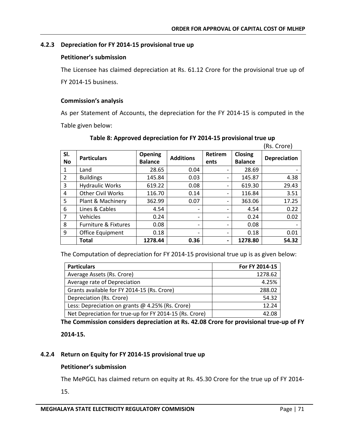# **4.2.3 Depreciation for FY 2014-15 provisional true up**

## **Petitioner's submission**

The Licensee has claimed depreciation at Rs. 61.12 Crore for the provisional true up of FY 2014-15 business.

# **Commission's analysis**

As per Statement of Accounts, the depreciation for the FY 2014-15 is computed in the Table given below:

|                  |                                 |                                  |                  |                          |                                  | (Rs. Crore)         |
|------------------|---------------------------------|----------------------------------|------------------|--------------------------|----------------------------------|---------------------|
| SI.<br><b>No</b> | <b>Particulars</b>              | <b>Opening</b><br><b>Balance</b> | <b>Additions</b> | <b>Retirem</b><br>ents   | <b>Closing</b><br><b>Balance</b> | <b>Depreciation</b> |
| 1                | Land                            | 28.65                            | 0.04             |                          | 28.69                            |                     |
| $\overline{2}$   | <b>Buildings</b>                | 145.84                           | 0.03             |                          | 145.87                           | 4.38                |
| 3                | <b>Hydraulic Works</b>          | 619.22                           | 0.08             | -                        | 619.30                           | 29.43               |
| 4                | <b>Other Civil Works</b>        | 116.70                           | 0.14             | -                        | 116.84                           | 3.51                |
| 5                | Plant & Machinery               | 362.99                           | 0.07             |                          | 363.06                           | 17.25               |
| 6                | Lines & Cables                  | 4.54                             |                  |                          | 4.54                             | 0.22                |
| 7                | Vehicles                        | 0.24                             |                  |                          | 0.24                             | 0.02                |
| 8                | <b>Furniture &amp; Fixtures</b> | 0.08                             | -                | $\overline{\phantom{0}}$ | 0.08                             |                     |
| 9                | <b>Office Equipment</b>         | 0.18                             | -                | $\overline{\phantom{0}}$ | 0.18                             | 0.01                |
|                  | <b>Total</b>                    | 1278.44                          | 0.36             | $\overline{\phantom{0}}$ | 1278.80                          | 54.32               |

# **Table 8: Approved depreciation for FY 2014-15 provisional true up**

The Computation of depreciation for FY 2014-15 provisional true up is as given below:

| <b>Particulars</b>                                      | For FY 2014-15 |
|---------------------------------------------------------|----------------|
| Average Assets (Rs. Crore)                              | 1278.62        |
| Average rate of Depreciation                            | 4.25%          |
| Grants available for FY 2014-15 (Rs. Crore)             | 288.02         |
| Depreciation (Rs. Crore)                                | 54.32          |
| Less: Depreciation on grants @ 4.25% (Rs. Crore)        | 12.24          |
| Net Depreciation for true-up for FY 2014-15 (Rs. Crore) | 42.08          |

**The Commission considers depreciation at Rs. 42.08 Crore for provisional true-up of FY** 

**2014-15.**

# **4.2.4 Return on Equity for FY 2014-15 provisional true up**

# **Petitioner's submission**

The MePGCL has claimed return on equity at Rs. 45.30 Crore for the true up of FY 2014-

15.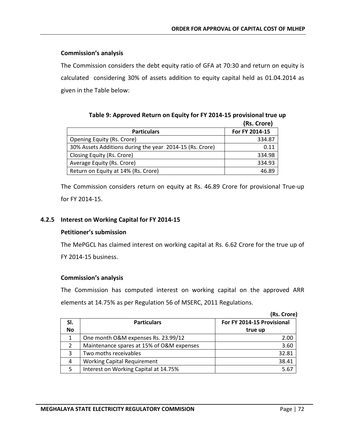## **Commission's analysis**

The Commission considers the debt equity ratio of GFA at 70:30 and return on equity is calculated considering 30% of assets addition to equity capital held as 01.04.2014 as given in the Table below:

|                                                          | ו ואי שופו     |
|----------------------------------------------------------|----------------|
| <b>Particulars</b>                                       | For FY 2014-15 |
| Opening Equity (Rs. Crore)                               | 334.87         |
| 30% Assets Additions during the year 2014-15 (Rs. Crore) | 0.11           |
| Closing Equity (Rs. Crore)                               | 334.98         |
| Average Equity (Rs. Crore)                               | 334.93         |
| Return on Equity at 14% (Rs. Crore)                      | 46.89          |

**Table 9: Approved Return on Equity for FY 2014-15 provisional true up (Rs. Crore)**

The Commission considers return on equity at Rs. 46.89 Crore for provisional True-up for FY 2014-15.

# **4.2.5 Interest on Working Capital for FY 2014-15**

## **Petitioner's submission**

The MePGCL has claimed interest on working capital at Rs. 6.62 Crore for the true up of FY 2014-15 business.

## **Commission's analysis**

The Commission has computed interest on working capital on the approved ARR elements at 14.75% as per Regulation 56 of MSERC, 2011 Regulations.

|           |                                           | (Rs. Crore)                |
|-----------|-------------------------------------------|----------------------------|
| SI.       | <b>Particulars</b>                        | For FY 2014-15 Provisional |
| <b>No</b> |                                           | true up                    |
| 1         | One month O&M expenses Rs. 23.99/12       | 2.00                       |
| 2         | Maintenance spares at 15% of O&M expenses | 3.60                       |
| 3         | Two moths receivables                     | 32.81                      |
| 4         | <b>Working Capital Requirement</b>        | 38.41                      |
|           | Interest on Working Capital at 14.75%     | 5.67                       |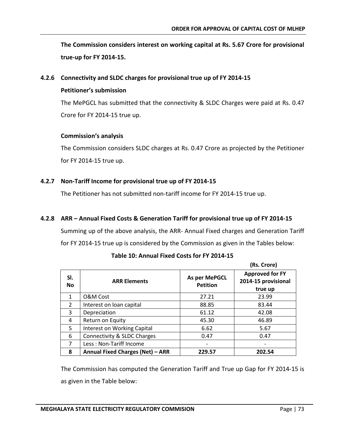**The Commission considers interest on working capital at Rs. 5.67 Crore for provisional true-up for FY 2014-15.**

#### **4.2.6 Connectivity and SLDC charges for provisional true up of FY 2014-15**

#### **Petitioner's submission**

The MePGCL has submitted that the connectivity & SLDC Charges were paid at Rs. 0.47 Crore for FY 2014-15 true up.

#### **Commission's analysis**

The Commission considers SLDC charges at Rs. 0.47 Crore as projected by the Petitioner for FY 2014-15 true up.

## **4.2.7 Non-Tariff Income for provisional true up of FY 2014-15**

The Petitioner has not submitted non-tariff income for FY 2014-15 true up.

# **4.2.8 ARR – Annual Fixed Costs & Generation Tariff for provisional true up of FY 2014-15**

Summing up of the above analysis, the ARR- Annual Fixed charges and Generation Tariff for FY 2014-15 true up is considered by the Commission as given in the Tables below:

|                  |                                         |                                  | (Rs. Crore)                                              |
|------------------|-----------------------------------------|----------------------------------|----------------------------------------------------------|
| SI.<br><b>No</b> | <b>ARR Elements</b>                     | As per MePGCL<br><b>Petition</b> | <b>Approved for FY</b><br>2014-15 provisional<br>true up |
| $\mathbf{1}$     | O&M Cost                                | 27.21                            | 23.99                                                    |
| $\mathfrak{D}$   | Interest on loan capital                | 88.85                            | 83.44                                                    |
| 3                | Depreciation                            | 61.12                            | 42.08                                                    |
| 4                | Return on Equity                        | 45.30                            | 46.89                                                    |
| 5                | Interest on Working Capital             | 6.62                             | 5.67                                                     |
| 6                | Connectivity & SLDC Charges             | 0.47                             | 0.47                                                     |
| 7                | Less: Non-Tariff Income                 |                                  |                                                          |
| 8                | <b>Annual Fixed Charges (Net) - ARR</b> | 229.57                           | 202.54                                                   |

## **Table 10: Annual Fixed Costs for FY 2014-15**

The Commission has computed the Generation Tariff and True up Gap for FY 2014-15 is as given in the Table below: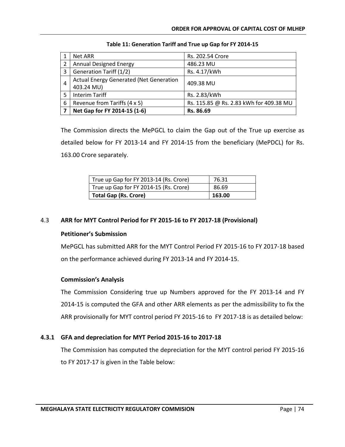|   | Net ARR                                        | Rs. 202.54 Crore                        |
|---|------------------------------------------------|-----------------------------------------|
|   | <b>Annual Designed Energy</b>                  | 486.23 MU                               |
| 3 | Generation Tariff (1/2)                        | Rs. 4.17/kWh                            |
| 4 | <b>Actual Energy Generated (Net Generation</b> | 409.38 MU                               |
|   | 403.24 MU)                                     |                                         |
|   | Interim Tariff                                 | Rs. 2.83/kWh                            |
| 6 | Revenue from Tariffs (4 x 5)                   | Rs. 115.85 @ Rs. 2.83 kWh for 409.38 MU |
|   | Net Gap for FY 2014-15 (1-6)                   | Rs. 86.69                               |

| Table 11: Generation Tariff and True up Gap for FY 2014-15 |  |
|------------------------------------------------------------|--|
|------------------------------------------------------------|--|

The Commission directs the MePGCL to claim the Gap out of the True up exercise as detailed below for FY 2013-14 and FY 2014-15 from the beneficiary (MePDCL) for Rs. 163.00 Crore separately.

| True up Gap for FY 2013-14 (Rs. Crore) | 76.31  |
|----------------------------------------|--------|
| True up Gap for FY 2014-15 (Rs. Crore) | 86.69  |
| Total Gap (Rs. Crore)                  | 163.00 |

# 4.3 **ARR for MYT Control Period for FY 2015-16 to FY 2017-18 (Provisional)**

# **Petitioner's Submission**

MePGCL has submitted ARR for the MYT Control Period FY 2015-16 to FY 2017-18 based on the performance achieved during FY 2013-14 and FY 2014-15.

# **Commission's Analysis**

The Commission Considering true up Numbers approved for the FY 2013-14 and FY 2014-15 is computed the GFA and other ARR elements as per the admissibility to fix the ARR provisionally for MYT control period FY 2015-16 to FY 2017-18 is as detailed below:

# **4.3.1 GFA and depreciation for MYT Period 2015-16 to 2017-18**

The Commission has computed the depreciation for the MYT control period FY 2015-16 to FY 2017-17 is given in the Table below: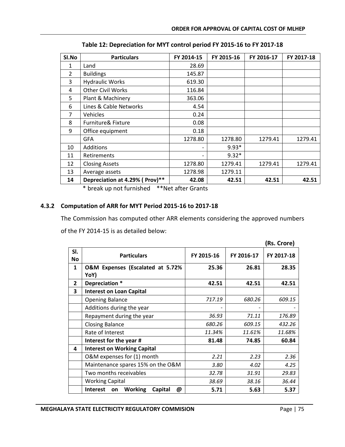| SI.No         | <b>Particulars</b>             | FY 2014-15 | FY 2015-16 | FY 2016-17 | FY 2017-18 |
|---------------|--------------------------------|------------|------------|------------|------------|
| 1             | Land                           | 28.69      |            |            |            |
| $\mathcal{P}$ | <b>Buildings</b>               | 145.87     |            |            |            |
| 3             | <b>Hydraulic Works</b>         | 619.30     |            |            |            |
| 4             | <b>Other Civil Works</b>       | 116.84     |            |            |            |
| 5             | Plant & Machinery              | 363.06     |            |            |            |
| 6             | Lines & Cable Networks         | 4.54       |            |            |            |
| 7             | Vehicles                       | 0.24       |            |            |            |
| 8             | Furniture& Fixture             | 0.08       |            |            |            |
| 9             | Office equipment               | 0.18       |            |            |            |
|               | <b>GFA</b>                     | 1278.80    | 1278.80    | 1279.41    | 1279.41    |
| 10            | Additions                      |            | $9.93*$    |            |            |
| 11            | Retirements                    |            | $9.32*$    |            |            |
| 12            | <b>Closing Assets</b>          | 1278.80    | 1279.41    | 1279.41    | 1279.41    |
| 13            | Average assets                 | 1278.98    | 1279.11    |            |            |
| 14            | Depreciation at 4.29% (Prov)** | 42.08      | 42.51      | 42.51      | 42.51      |

**Table 12: Depreciation for MYT control period FY 2015-16 to FY 2017-18**

\* break up not furnished \*\*Net after Grants

# **4.3.2 Computation of ARR for MYT Period 2015-16 to 2017-18**

The Commission has computed other ARR elements considering the approved numbers

of the FY 2014-15 is as detailed below:

|              |                                                         |            |            | (Rs. Crore) |
|--------------|---------------------------------------------------------|------------|------------|-------------|
| SI.<br>No    | <b>Particulars</b>                                      | FY 2015-16 | FY 2016-17 | FY 2017-18  |
| $\mathbf{1}$ | O&M Expenses (Escalated at 5.72%<br>YoY)                | 25.36      | 26.81      | 28.35       |
| $\mathbf{2}$ | Depreciation *                                          | 42.51      | 42.51      | 42.51       |
| 3            | <b>Interest on Loan Capital</b>                         |            |            |             |
|              | <b>Opening Balance</b>                                  | 717.19     | 680.26     | 609.15      |
|              | Additions during the year                               |            |            |             |
|              | Repayment during the year                               | 36.93      | 71.11      | 176.89      |
|              | <b>Closing Balance</b>                                  | 680.26     | 609.15     | 432.26      |
|              | Rate of Interest                                        | 11.34%     | 11.61%     | 11.68%      |
|              | Interest for the year #                                 | 81.48      | 74.85      | 60.84       |
| 4            | <b>Interest on Working Capital</b>                      |            |            |             |
|              | O&M expenses for (1) month                              | 2.21       | 2.23       | 2.36        |
|              | Maintenance spares 15% on the O&M                       | 3.80       | 4.02       | 4.25        |
|              | Two months receivables                                  | 32.78      | 31.91      | 29.83       |
|              | <b>Working Capital</b>                                  | 38.69      | 38.16      | 36.44       |
|              | <b>Working</b><br><b>Interest</b><br>Capital<br>@<br>on | 5.71       | 5.63       | 5.37        |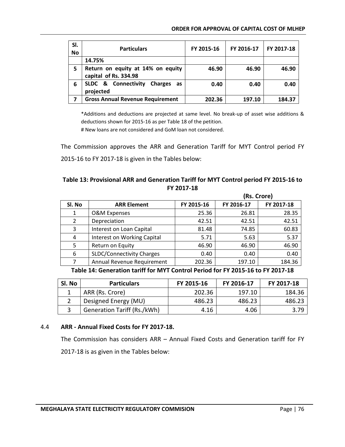| SI.<br><b>No</b> | <b>Particulars</b>                                                  | FY 2015-16 | FY 2016-17 | FY 2017-18 |
|------------------|---------------------------------------------------------------------|------------|------------|------------|
|                  | 14.75%                                                              |            |            |            |
| 5                | Return on equity at 14% on equity<br>capital of Rs. 334.98          | 46.90      | 46.90      | 46.90      |
| 6                | <b>SLDC &amp; Connectivity</b><br><b>Charges</b><br>as<br>projected | 0.40       | 0.40       | 0.40       |
| 7                | <b>Gross Annual Revenue Requirement</b>                             | 202.36     | 197.10     | 184.37     |

\*Additions and deductions are projected at same level. No break-up of asset wise additions & deductions shown for 2015-16 as per Table 18 of the petition.

# New loans are not considered and GoM loan not considered.

The Commission approves the ARR and Generation Tariff for MYT Control period FY 2015-16 to FY 2017-18 is given in the Tables below:

# **Table 13: Provisional ARR and Generation Tariff for MYT Control period FY 2015-16 to FY 2017-18**

|        |                                  |            | (Rs. Crore) |            |  |
|--------|----------------------------------|------------|-------------|------------|--|
| SI. No | <b>ARR Element</b>               | FY 2015-16 | FY 2016-17  | FY 2017-18 |  |
| 1      | O&M Expenses                     | 25.36      | 26.81       | 28.35      |  |
| 2      | Depreciation                     | 42.51      | 42.51       | 42.51      |  |
| 3      | Interest on Loan Capital         | 81.48      | 74.85       | 60.83      |  |
| 4      | Interest on Working Capital      | 5.71       | 5.63        | 5.37       |  |
| 5      | Return on Equity                 | 46.90      | 46.90       | 46.90      |  |
| 6      | <b>SLDC/Connectivity Charges</b> | 0.40       | 0.40        | 0.40       |  |
| 7      | Annual Revenue Requirement       | 202.36     | 197.10      | 184.36     |  |

**Table 14: Generation tariff for MYT Control Period for FY 2015-16 to FY 2017-18**

| Sl. No | <b>Particulars</b>                 | FY 2015-16 | FY 2016-17 | FY 2017-18 |
|--------|------------------------------------|------------|------------|------------|
|        | ARR (Rs. Crore)                    | 202.36     | 197.10     | 184.36     |
|        | Designed Energy (MU)               | 486.23     | 486.23     | 486.23     |
|        | <b>Generation Tariff (Rs./kWh)</b> | 4.16       | 4.06       | 3.79       |

## 4.4 **ARR - Annual Fixed Costs for FY 2017-18.**

The Commission has considers ARR – Annual Fixed Costs and Generation tariff for FY 2017-18 is as given in the Tables below: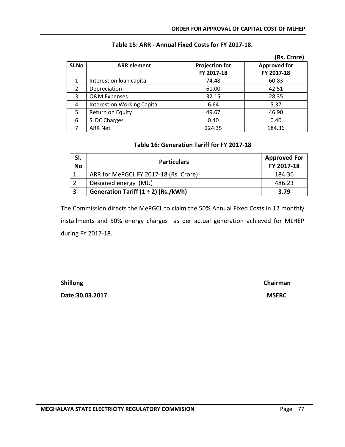|       |                             |                                              | (Rs. Crore) |  |  |
|-------|-----------------------------|----------------------------------------------|-------------|--|--|
| SI.No | <b>ARR</b> element          | <b>Approved for</b><br><b>Projection for</b> |             |  |  |
|       |                             | FY 2017-18                                   | FY 2017-18  |  |  |
|       | Interest on loan capital    | 74.48                                        | 60.83       |  |  |
| 2     | Depreciation                | 61.00                                        | 42.51       |  |  |
| 3     | <b>O&amp;M Expenses</b>     | 32.15                                        | 28.35       |  |  |
| 4     | Interest on Working Capital | 6.64                                         | 5.37        |  |  |
| 5     | Return on Equity            | 49.67                                        | 46.90       |  |  |
| 6     | <b>SLDC Charges</b>         | 0.40                                         | 0.40        |  |  |
|       | <b>ARR Net</b>              | 224.35                                       | 184.36      |  |  |

## **Table 15: ARR - Annual Fixed Costs for FY 2017-18.**

## **Table 16: Generation Tariff for FY 2017-18**

| SI.<br><b>No</b>        | <b>Particulars</b>                       | <b>Approved For</b><br>FY 2017-18 |  |  |
|-------------------------|------------------------------------------|-----------------------------------|--|--|
|                         | ARR for MePGCL FY 2017-18 (Rs. Crore)    | 184.36                            |  |  |
|                         | Designed energy (MU)                     | 486.23                            |  |  |
| $\overline{\mathbf{3}}$ | Generation Tariff $(1 \div 2)$ (Rs./kWh) | 3.79                              |  |  |

The Commission directs the MePGCL to claim the 50% Annual Fixed Costs in 12 monthly installments and 50% energy charges as per actual generation achieved for MLHEP during FY 2017-18.

**Date:30.03.2017 MSERC**

**Shillong Chairman**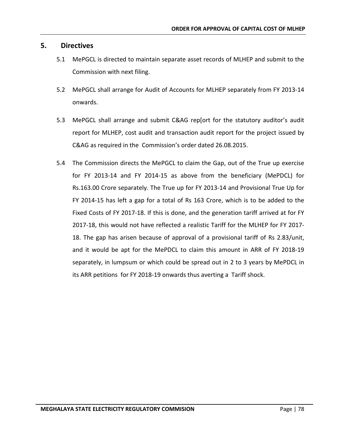# **5. Directives**

- 5.1 MePGCL is directed to maintain separate asset records of MLHEP and submit to the Commission with next filing.
- 5.2 MePGCL shall arrange for Audit of Accounts for MLHEP separately from FY 2013-14 onwards.
- 5.3 MePGCL shall arrange and submit C&AG rep[ort for the statutory auditor's audit report for MLHEP, cost audit and transaction audit report for the project issued by C&AG as required in the Commission's order dated 26.08.2015.
- 5.4The Commission directs the MePGCL to claim the Gap, out of the True up exercise for FY 2013-14 and FY 2014-15 as above from the beneficiary (MePDCL) for Rs.163.00 Crore separately. The True up for FY 2013-14 and Provisional True Up for FY 2014-15 has left a gap for a total of Rs 163 Crore, which is to be added to the Fixed Costs of FY 2017-18. If this is done, and the generation tariff arrived at for FY 2017-18, this would not have reflected a realistic Tariff for the MLHEP for FY 2017- 18. The gap has arisen because of approval of a provisional tariff of Rs 2.83/unit, and it would be apt for the MePDCL to claim this amount in ARR of FY 2018-19 separately, in lumpsum or which could be spread out in 2 to 3 years by MePDCL in its ARR petitions for FY 2018-19 onwards thus averting a Tariff shock.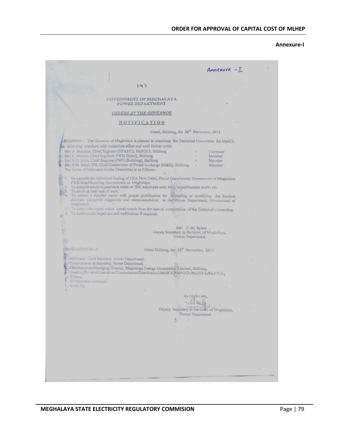#### **Annexure-I**

|                                        |                                                                                                                                                                                                                                                                                                                                                                                                                                                                                                              |                                                       | Annexure - 1                                   |  |
|----------------------------------------|--------------------------------------------------------------------------------------------------------------------------------------------------------------------------------------------------------------------------------------------------------------------------------------------------------------------------------------------------------------------------------------------------------------------------------------------------------------------------------------------------------------|-------------------------------------------------------|------------------------------------------------|--|
|                                        |                                                                                                                                                                                                                                                                                                                                                                                                                                                                                                              |                                                       |                                                |  |
|                                        | 147                                                                                                                                                                                                                                                                                                                                                                                                                                                                                                          |                                                       |                                                |  |
|                                        |                                                                                                                                                                                                                                                                                                                                                                                                                                                                                                              |                                                       |                                                |  |
|                                        | <b>GOVERNMENT OF MEGHALAYA</b><br>POWER DICPARTMENT                                                                                                                                                                                                                                                                                                                                                                                                                                                          |                                                       |                                                |  |
|                                        | <b>ORDERS BY THE GOVERNOR</b>                                                                                                                                                                                                                                                                                                                                                                                                                                                                                |                                                       |                                                |  |
|                                        | NOTIFICATION                                                                                                                                                                                                                                                                                                                                                                                                                                                                                                 |                                                       |                                                |  |
|                                        |                                                                                                                                                                                                                                                                                                                                                                                                                                                                                                              | Dated, Shillong, the 28 <sup>th</sup> November, 2013. |                                                |  |
|                                        | 45/2003/84 - The Governor of Meghalaya is pleased to constitute the Technical Committee for MeECL<br>the following members with immediate effect and until further order.<br>Shri A. Mahama, Chief Engineer (HP&HC), McPGCL Shillong<br>2. Shri C. Monnin, Chief Engineer, PWD (Road), Shillong<br>3. Shri R.D. Shira, Chief Engineer, PWD (Building), Shillong<br>4. Shri S.M. Sahai, IFS, Chief Conservator of Forest in-charge (M&E), Shillong<br>The Terms of Reference forthe Committee is as follows:- |                                                       | <b>Univeaur</b><br>Munber<br>Member<br>Member, |  |
| Megnalaya                              | <sup>2</sup> 1 To compile the individual finding of CEA New Delhi, Povest Department, Government of Meghalaya<br>PWD Road/Bainling, Government of Meghalaya.<br>2. To compile actual expenditure made on IDC employee cost, land, miscellaneous works etc.<br>13 To arrive at total cost of work.<br>1884. To submit a detailed report with proper justification for accepting or modifying the Revised<br>Estimate alongwith suggestion and recommendation to the Power Department, Greenment of            |                                                       |                                                |  |
|                                        | To other t the report within 1 (one) month from the date of constitution of the Technical Committee,                                                                                                                                                                                                                                                                                                                                                                                                         |                                                       |                                                |  |
|                                        | la cominct site inspection and vertication if required.                                                                                                                                                                                                                                                                                                                                                                                                                                                      |                                                       |                                                |  |
|                                        |                                                                                                                                                                                                                                                                                                                                                                                                                                                                                                              |                                                       |                                                |  |
|                                        |                                                                                                                                                                                                                                                                                                                                                                                                                                                                                                              | Sd/- C.M. Sylem.                                      |                                                |  |
|                                        |                                                                                                                                                                                                                                                                                                                                                                                                                                                                                                              | Deputy Secretary to the Govt. of Moghalaya,           |                                                |  |
|                                        |                                                                                                                                                                                                                                                                                                                                                                                                                                                                                                              | Power Department.                                     |                                                |  |
|                                        |                                                                                                                                                                                                                                                                                                                                                                                                                                                                                                              |                                                       |                                                |  |
| ATMA PE-25/2001/84 - A                 |                                                                                                                                                                                                                                                                                                                                                                                                                                                                                                              | Dated Shillong, the 28th November, 2013.              |                                                |  |
| 抑汗                                     | 25 Additional Chief Secretary Power Department.                                                                                                                                                                                                                                                                                                                                                                                                                                                              |                                                       |                                                |  |
|                                        | Commissioner & Secretary, Power Department                                                                                                                                                                                                                                                                                                                                                                                                                                                                   |                                                       |                                                |  |
| <b>Shillware</b>                       | Chairman-coun-Managing Director, Meghalaya Energy Corporation Limited, Shillong,<br>Director, (Fis and Ceneration/Transmission/Distribution), McECL/McPGCL/McPDCL/McPTCL,                                                                                                                                                                                                                                                                                                                                    |                                                       |                                                |  |
| All Manilers concerned.<br>Guidel File |                                                                                                                                                                                                                                                                                                                                                                                                                                                                                                              |                                                       |                                                |  |
|                                        |                                                                                                                                                                                                                                                                                                                                                                                                                                                                                                              |                                                       |                                                |  |
|                                        |                                                                                                                                                                                                                                                                                                                                                                                                                                                                                                              | By Olgler, etc.,                                      |                                                |  |
|                                        |                                                                                                                                                                                                                                                                                                                                                                                                                                                                                                              | (Part).                                               |                                                |  |
|                                        |                                                                                                                                                                                                                                                                                                                                                                                                                                                                                                              | Deputy Secretary to the Gold of Meghalaya,            |                                                |  |
|                                        |                                                                                                                                                                                                                                                                                                                                                                                                                                                                                                              | Power Department                                      |                                                |  |
|                                        |                                                                                                                                                                                                                                                                                                                                                                                                                                                                                                              | 5                                                     |                                                |  |
|                                        |                                                                                                                                                                                                                                                                                                                                                                                                                                                                                                              |                                                       |                                                |  |
|                                        |                                                                                                                                                                                                                                                                                                                                                                                                                                                                                                              |                                                       |                                                |  |
|                                        |                                                                                                                                                                                                                                                                                                                                                                                                                                                                                                              |                                                       |                                                |  |
|                                        |                                                                                                                                                                                                                                                                                                                                                                                                                                                                                                              |                                                       |                                                |  |
|                                        |                                                                                                                                                                                                                                                                                                                                                                                                                                                                                                              |                                                       |                                                |  |
|                                        |                                                                                                                                                                                                                                                                                                                                                                                                                                                                                                              |                                                       |                                                |  |
|                                        |                                                                                                                                                                                                                                                                                                                                                                                                                                                                                                              |                                                       |                                                |  |
|                                        |                                                                                                                                                                                                                                                                                                                                                                                                                                                                                                              |                                                       |                                                |  |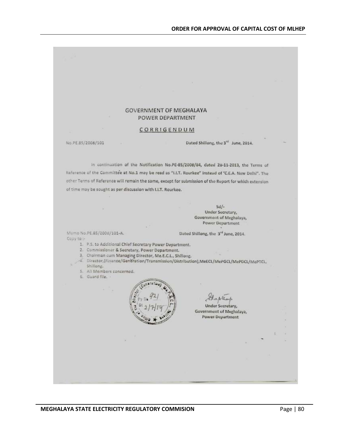#### **GOVERNMENT OF MEGHALAYA** POWER DEPARTMENT

#### CORRIGENDUM

#### No.PE.85/2008/101

Dated Shillong, the 3<sup>rd</sup> June, 2014.

In continuation of the Notification No.PE-85/2008/84, dated 28-11-2013, the Terms of Reference of the Committee at No.1 may be read as "I.I.T. Rourkee" instead of 'C.E.A. New Delhi". The other Terms of Reference will remain the same, except for submission of the Report for which extension of time may be sought as per discussion with I.I.T. Rourkee.

> $Sd/-$ Under Secretary, Government of Meghalaya, **Power Department**

Memo No.PE.85/2008/101-A. Copy to :-

Dated Shillong, the 3<sup>rd</sup> June, 2014.

- 1. P.S. to Additional Chief Secretary Power Department.
- 2. Commissioner & Secretary, Power Department.
- 3. Chairman cum Managing Director, Me.E.C.L., Shillong.
- 4. Director, (Finance/Generation/Transmission/Distribution), MeECL/MePGCL/MePDCL/MePTCL, Shillong.
- 5. All Members concerned.
- 6. Guard file. .



Chaples

**Under Secretary,** Government of Meghalaya, Power Department